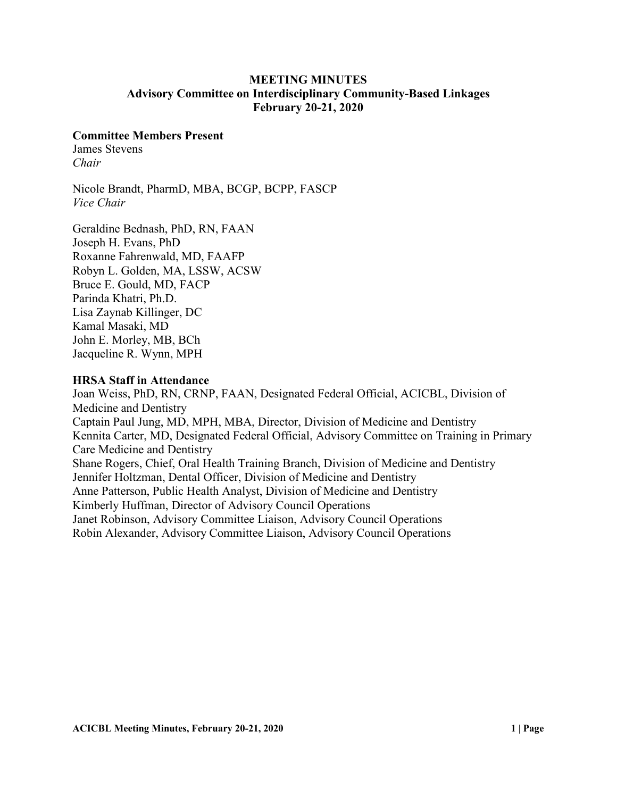# **MEETING MINUTES Advisory Committee on Interdisciplinary Community-Based Linkages February 20-21, 2020**

### **Committee Members Present**

James Stevens *Chair* 

Nicole Brandt, PharmD, MBA, BCGP, BCPP, FASCP *Vice Chair*

Geraldine Bednash, PhD, RN, FAAN Joseph H. Evans, PhD Roxanne Fahrenwald, MD, FAAFP Robyn L. Golden, MA, LSSW, ACSW Bruce E. Gould, MD, FACP Parinda Khatri, Ph.D. Lisa Zaynab Killinger, DC Kamal Masaki, MD John E. Morley, MB, BCh Jacqueline R. Wynn, MPH

### **HRSA Staff in Attendance**

Joan Weiss, PhD, RN, CRNP, FAAN, Designated Federal Official, ACICBL, Division of Medicine and Dentistry Captain Paul Jung, MD, MPH, MBA, Director, Division of Medicine and Dentistry Kennita Carter, MD, Designated Federal Official, Advisory Committee on Training in Primary Care Medicine and Dentistry Shane Rogers, Chief, Oral Health Training Branch, Division of Medicine and Dentistry Jennifer Holtzman, Dental Officer, Division of Medicine and Dentistry Anne Patterson, Public Health Analyst, Division of Medicine and Dentistry Kimberly Huffman, Director of Advisory Council Operations Janet Robinson, Advisory Committee Liaison, Advisory Council Operations Robin Alexander, Advisory Committee Liaison, Advisory Council Operations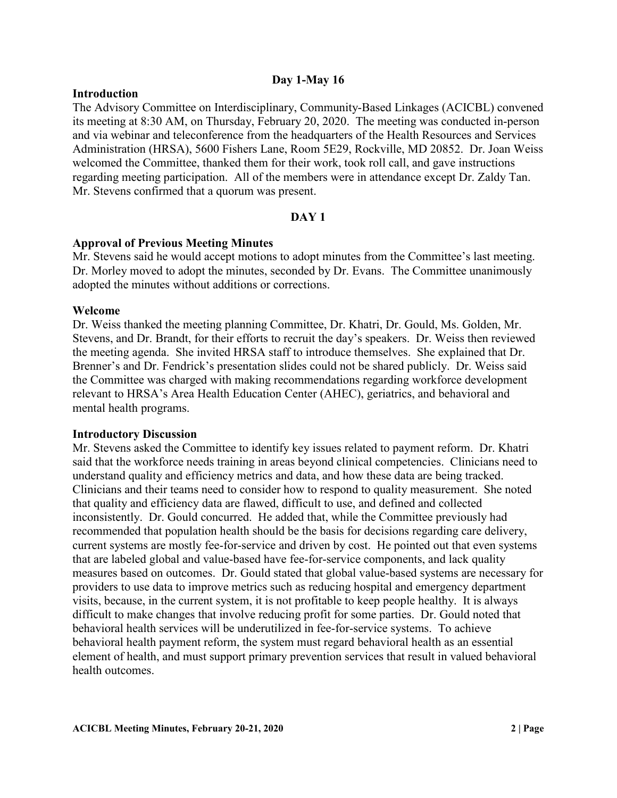### **Day 1-May 16**

### **Introduction**

The Advisory Committee on Interdisciplinary, Community-Based Linkages (ACICBL) convened its meeting at 8:30 AM, on Thursday, February 20, 2020. The meeting was conducted in-person and via webinar and teleconference from the headquarters of the Health Resources and Services Administration (HRSA), 5600 Fishers Lane, Room 5E29, Rockville, MD 20852. Dr. Joan Weiss welcomed the Committee, thanked them for their work, took roll call, and gave instructions regarding meeting participation. All of the members were in attendance except Dr. Zaldy Tan. Mr. Stevens confirmed that a quorum was present.

## **DAY 1**

### **Approval of Previous Meeting Minutes**

Mr. Stevens said he would accept motions to adopt minutes from the Committee's last meeting. Dr. Morley moved to adopt the minutes, seconded by Dr. Evans. The Committee unanimously adopted the minutes without additions or corrections.

### **Welcome**

Dr. Weiss thanked the meeting planning Committee, Dr. Khatri, Dr. Gould, Ms. Golden, Mr. Stevens, and Dr. Brandt, for their efforts to recruit the day's speakers. Dr. Weiss then reviewed the meeting agenda. She invited HRSA staff to introduce themselves. She explained that Dr. Brenner's and Dr. Fendrick's presentation slides could not be shared publicly. Dr. Weiss said the Committee was charged with making recommendations regarding workforce development relevant to HRSA's Area Health Education Center (AHEC), geriatrics, and behavioral and mental health programs.

### **Introductory Discussion**

Mr. Stevens asked the Committee to identify key issues related to payment reform. Dr. Khatri said that the workforce needs training in areas beyond clinical competencies. Clinicians need to understand quality and efficiency metrics and data, and how these data are being tracked. Clinicians and their teams need to consider how to respond to quality measurement. She noted that quality and efficiency data are flawed, difficult to use, and defined and collected inconsistently. Dr. Gould concurred. He added that, while the Committee previously had recommended that population health should be the basis for decisions regarding care delivery, current systems are mostly fee-for-service and driven by cost. He pointed out that even systems that are labeled global and value-based have fee-for-service components, and lack quality measures based on outcomes. Dr. Gould stated that global value-based systems are necessary for providers to use data to improve metrics such as reducing hospital and emergency department visits, because, in the current system, it is not profitable to keep people healthy. It is always difficult to make changes that involve reducing profit for some parties. Dr. Gould noted that behavioral health services will be underutilized in fee-for-service systems. To achieve behavioral health payment reform, the system must regard behavioral health as an essential element of health, and must support primary prevention services that result in valued behavioral health outcomes.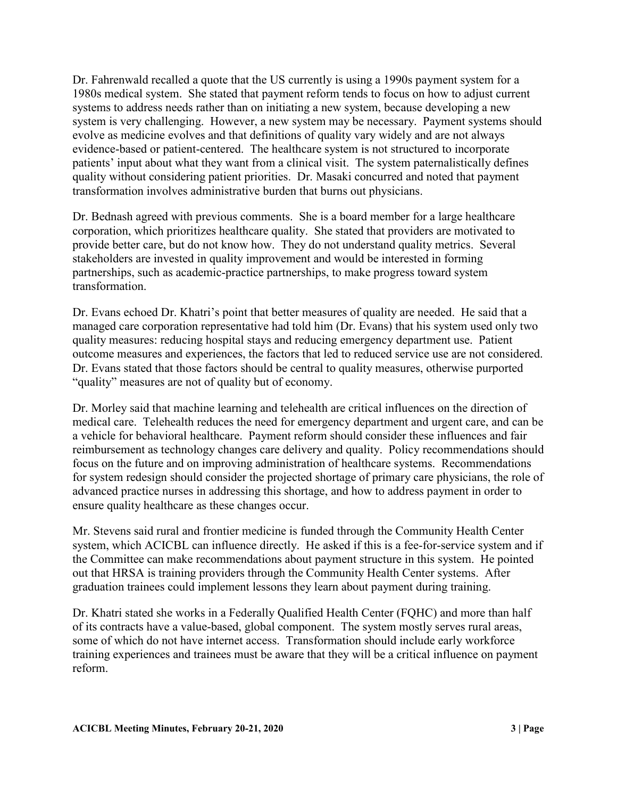Dr. Fahrenwald recalled a quote that the US currently is using a 1990s payment system for a 1980s medical system. She stated that payment reform tends to focus on how to adjust current systems to address needs rather than on initiating a new system, because developing a new system is very challenging. However, a new system may be necessary. Payment systems should evolve as medicine evolves and that definitions of quality vary widely and are not always evidence-based or patient-centered. The healthcare system is not structured to incorporate patients' input about what they want from a clinical visit. The system paternalistically defines quality without considering patient priorities. Dr. Masaki concurred and noted that payment transformation involves administrative burden that burns out physicians.

Dr. Bednash agreed with previous comments. She is a board member for a large healthcare corporation, which prioritizes healthcare quality. She stated that providers are motivated to provide better care, but do not know how. They do not understand quality metrics. Several stakeholders are invested in quality improvement and would be interested in forming partnerships, such as academic-practice partnerships, to make progress toward system transformation.

Dr. Evans echoed Dr. Khatri's point that better measures of quality are needed. He said that a managed care corporation representative had told him (Dr. Evans) that his system used only two quality measures: reducing hospital stays and reducing emergency department use. Patient outcome measures and experiences, the factors that led to reduced service use are not considered. Dr. Evans stated that those factors should be central to quality measures, otherwise purported "quality" measures are not of quality but of economy.

Dr. Morley said that machine learning and telehealth are critical influences on the direction of medical care. Telehealth reduces the need for emergency department and urgent care, and can be a vehicle for behavioral healthcare. Payment reform should consider these influences and fair reimbursement as technology changes care delivery and quality. Policy recommendations should focus on the future and on improving administration of healthcare systems. Recommendations for system redesign should consider the projected shortage of primary care physicians, the role of advanced practice nurses in addressing this shortage, and how to address payment in order to ensure quality healthcare as these changes occur.

Mr. Stevens said rural and frontier medicine is funded through the Community Health Center system, which ACICBL can influence directly. He asked if this is a fee-for-service system and if the Committee can make recommendations about payment structure in this system. He pointed out that HRSA is training providers through the Community Health Center systems. After graduation trainees could implement lessons they learn about payment during training.

Dr. Khatri stated she works in a Federally Qualified Health Center (FQHC) and more than half of its contracts have a value-based, global component. The system mostly serves rural areas, some of which do not have internet access. Transformation should include early workforce training experiences and trainees must be aware that they will be a critical influence on payment reform.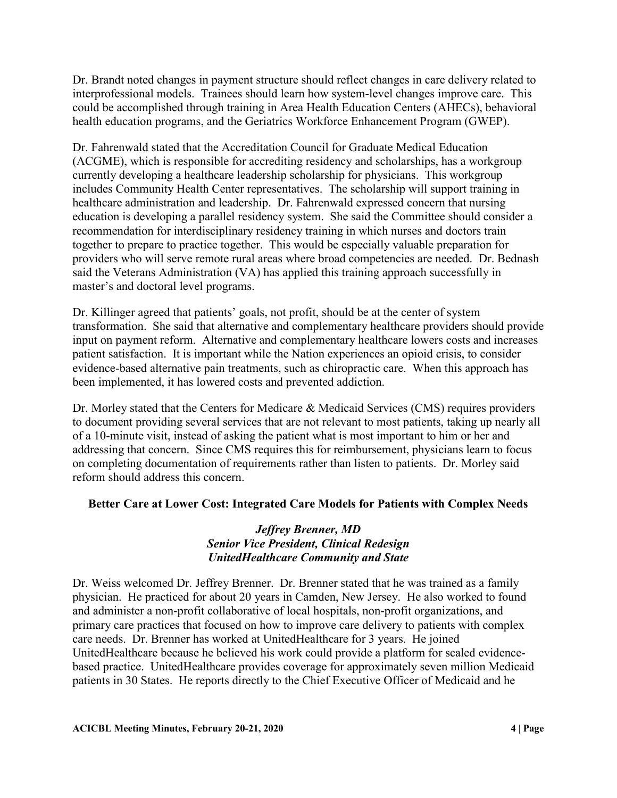Dr. Brandt noted changes in payment structure should reflect changes in care delivery related to interprofessional models. Trainees should learn how system-level changes improve care. This could be accomplished through training in Area Health Education Centers (AHECs), behavioral health education programs, and the Geriatrics Workforce Enhancement Program (GWEP).

Dr. Fahrenwald stated that the Accreditation Council for Graduate Medical Education (ACGME), which is responsible for accrediting residency and scholarships, has a workgroup currently developing a healthcare leadership scholarship for physicians. This workgroup includes Community Health Center representatives. The scholarship will support training in healthcare administration and leadership. Dr. Fahrenwald expressed concern that nursing education is developing a parallel residency system. She said the Committee should consider a recommendation for interdisciplinary residency training in which nurses and doctors train together to prepare to practice together. This would be especially valuable preparation for providers who will serve remote rural areas where broad competencies are needed. Dr. Bednash said the Veterans Administration (VA) has applied this training approach successfully in master's and doctoral level programs.

Dr. Killinger agreed that patients' goals, not profit, should be at the center of system transformation. She said that alternative and complementary healthcare providers should provide input on payment reform. Alternative and complementary healthcare lowers costs and increases patient satisfaction. It is important while the Nation experiences an opioid crisis, to consider evidence-based alternative pain treatments, such as chiropractic care. When this approach has been implemented, it has lowered costs and prevented addiction.

Dr. Morley stated that the Centers for Medicare & Medicaid Services (CMS) requires providers to document providing several services that are not relevant to most patients, taking up nearly all of a 10-minute visit, instead of asking the patient what is most important to him or her and addressing that concern. Since CMS requires this for reimbursement, physicians learn to focus on completing documentation of requirements rather than listen to patients. Dr. Morley said reform should address this concern.

# **Better Care at Lower Cost: Integrated Care Models for Patients with Complex Needs**

# *Jeffrey Brenner, MD Senior Vice President, Clinical Redesign UnitedHealthcare Community and State*

Dr. Weiss welcomed Dr. Jeffrey Brenner. Dr. Brenner stated that he was trained as a family physician. He practiced for about 20 years in Camden, New Jersey. He also worked to found and administer a non-profit collaborative of local hospitals, non-profit organizations, and primary care practices that focused on how to improve care delivery to patients with complex care needs. Dr. Brenner has worked at UnitedHealthcare for 3 years. He joined UnitedHealthcare because he believed his work could provide a platform for scaled evidencebased practice. UnitedHealthcare provides coverage for approximately seven million Medicaid patients in 30 States. He reports directly to the Chief Executive Officer of Medicaid and he

**ACICBL Meeting Minutes, February 20-21, 2020 4 | Page**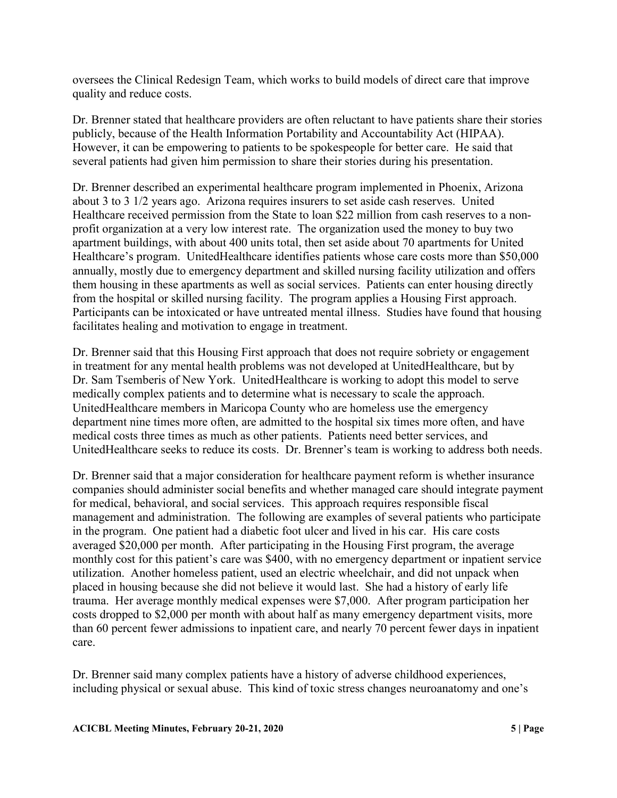oversees the Clinical Redesign Team, which works to build models of direct care that improve quality and reduce costs.

Dr. Brenner stated that healthcare providers are often reluctant to have patients share their stories publicly, because of the Health Information Portability and Accountability Act (HIPAA). However, it can be empowering to patients to be spokespeople for better care. He said that several patients had given him permission to share their stories during his presentation.

Dr. Brenner described an experimental healthcare program implemented in Phoenix, Arizona about 3 to 3 1/2 years ago. Arizona requires insurers to set aside cash reserves. United Healthcare received permission from the State to loan \$22 million from cash reserves to a nonprofit organization at a very low interest rate. The organization used the money to buy two apartment buildings, with about 400 units total, then set aside about 70 apartments for United Healthcare's program. UnitedHealthcare identifies patients whose care costs more than \$50,000 annually, mostly due to emergency department and skilled nursing facility utilization and offers them housing in these apartments as well as social services. Patients can enter housing directly from the hospital or skilled nursing facility. The program applies a Housing First approach. Participants can be intoxicated or have untreated mental illness. Studies have found that housing facilitates healing and motivation to engage in treatment.

Dr. Brenner said that this Housing First approach that does not require sobriety or engagement in treatment for any mental health problems was not developed at UnitedHealthcare, but by Dr. Sam Tsemberis of New York. UnitedHealthcare is working to adopt this model to serve medically complex patients and to determine what is necessary to scale the approach. UnitedHealthcare members in Maricopa County who are homeless use the emergency department nine times more often, are admitted to the hospital six times more often, and have medical costs three times as much as other patients. Patients need better services, and UnitedHealthcare seeks to reduce its costs. Dr. Brenner's team is working to address both needs.

Dr. Brenner said that a major consideration for healthcare payment reform is whether insurance companies should administer social benefits and whether managed care should integrate payment for medical, behavioral, and social services. This approach requires responsible fiscal management and administration. The following are examples of several patients who participate in the program. One patient had a diabetic foot ulcer and lived in his car. His care costs averaged \$20,000 per month. After participating in the Housing First program, the average monthly cost for this patient's care was \$400, with no emergency department or inpatient service utilization. Another homeless patient, used an electric wheelchair, and did not unpack when placed in housing because she did not believe it would last. She had a history of early life trauma. Her average monthly medical expenses were \$7,000. After program participation her costs dropped to \$2,000 per month with about half as many emergency department visits, more than 60 percent fewer admissions to inpatient care, and nearly 70 percent fewer days in inpatient care.

Dr. Brenner said many complex patients have a history of adverse childhood experiences, including physical or sexual abuse. This kind of toxic stress changes neuroanatomy and one's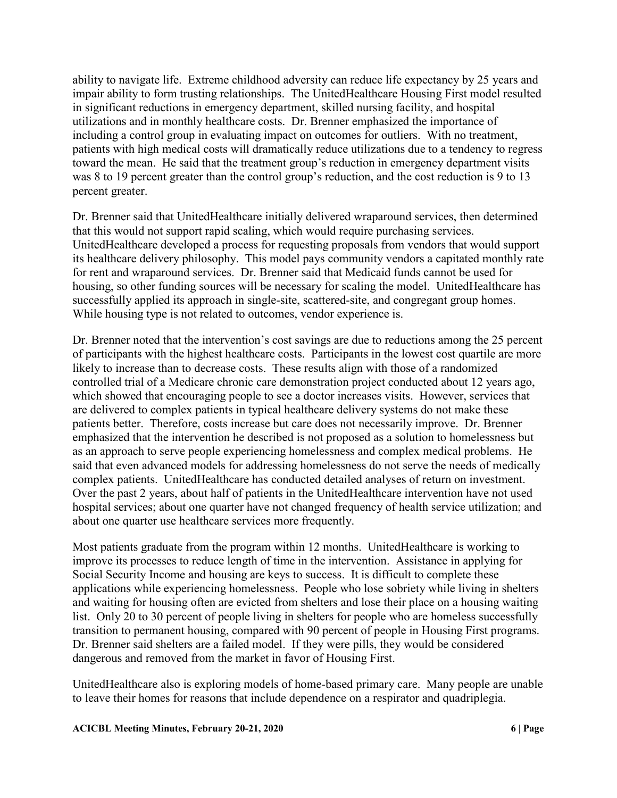ability to navigate life. Extreme childhood adversity can reduce life expectancy by 25 years and impair ability to form trusting relationships. The UnitedHealthcare Housing First model resulted in significant reductions in emergency department, skilled nursing facility, and hospital utilizations and in monthly healthcare costs. Dr. Brenner emphasized the importance of including a control group in evaluating impact on outcomes for outliers. With no treatment, patients with high medical costs will dramatically reduce utilizations due to a tendency to regress toward the mean. He said that the treatment group's reduction in emergency department visits was 8 to 19 percent greater than the control group's reduction, and the cost reduction is 9 to 13 percent greater.

Dr. Brenner said that UnitedHealthcare initially delivered wraparound services, then determined that this would not support rapid scaling, which would require purchasing services. UnitedHealthcare developed a process for requesting proposals from vendors that would support its healthcare delivery philosophy. This model pays community vendors a capitated monthly rate for rent and wraparound services. Dr. Brenner said that Medicaid funds cannot be used for housing, so other funding sources will be necessary for scaling the model. UnitedHealthcare has successfully applied its approach in single-site, scattered-site, and congregant group homes. While housing type is not related to outcomes, vendor experience is.

Dr. Brenner noted that the intervention's cost savings are due to reductions among the 25 percent of participants with the highest healthcare costs. Participants in the lowest cost quartile are more likely to increase than to decrease costs. These results align with those of a randomized controlled trial of a Medicare chronic care demonstration project conducted about 12 years ago, which showed that encouraging people to see a doctor increases visits. However, services that are delivered to complex patients in typical healthcare delivery systems do not make these patients better. Therefore, costs increase but care does not necessarily improve. Dr. Brenner emphasized that the intervention he described is not proposed as a solution to homelessness but as an approach to serve people experiencing homelessness and complex medical problems. He said that even advanced models for addressing homelessness do not serve the needs of medically complex patients. UnitedHealthcare has conducted detailed analyses of return on investment. Over the past 2 years, about half of patients in the UnitedHealthcare intervention have not used hospital services; about one quarter have not changed frequency of health service utilization; and about one quarter use healthcare services more frequently.

Most patients graduate from the program within 12 months. UnitedHealthcare is working to improve its processes to reduce length of time in the intervention. Assistance in applying for Social Security Income and housing are keys to success. It is difficult to complete these applications while experiencing homelessness. People who lose sobriety while living in shelters and waiting for housing often are evicted from shelters and lose their place on a housing waiting list. Only 20 to 30 percent of people living in shelters for people who are homeless successfully transition to permanent housing, compared with 90 percent of people in Housing First programs. Dr. Brenner said shelters are a failed model. If they were pills, they would be considered dangerous and removed from the market in favor of Housing First.

UnitedHealthcare also is exploring models of home-based primary care. Many people are unable to leave their homes for reasons that include dependence on a respirator and quadriplegia.

### **ACICBL Meeting Minutes, February 20-21, 2020 6 | Page**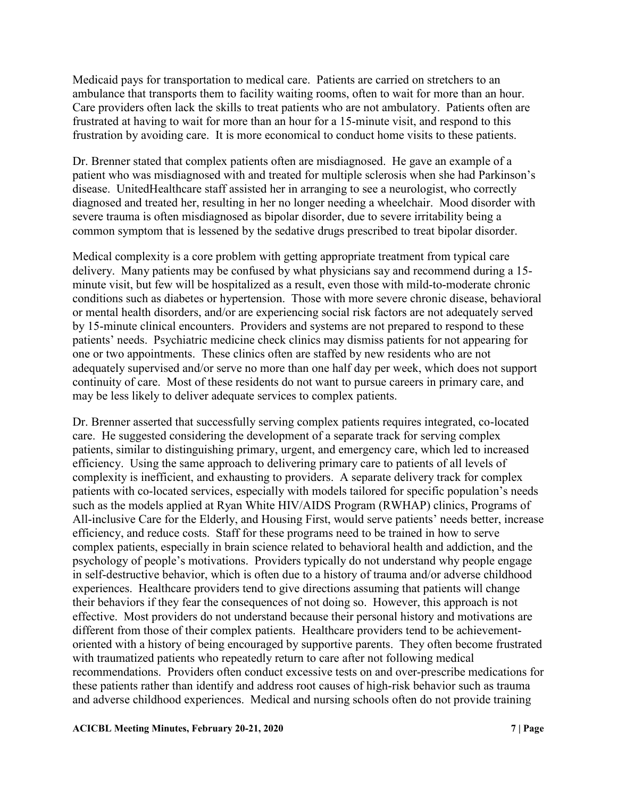Medicaid pays for transportation to medical care. Patients are carried on stretchers to an ambulance that transports them to facility waiting rooms, often to wait for more than an hour. Care providers often lack the skills to treat patients who are not ambulatory. Patients often are frustrated at having to wait for more than an hour for a 15-minute visit, and respond to this frustration by avoiding care. It is more economical to conduct home visits to these patients.

Dr. Brenner stated that complex patients often are misdiagnosed. He gave an example of a patient who was misdiagnosed with and treated for multiple sclerosis when she had Parkinson's disease. UnitedHealthcare staff assisted her in arranging to see a neurologist, who correctly diagnosed and treated her, resulting in her no longer needing a wheelchair. Mood disorder with severe trauma is often misdiagnosed as bipolar disorder, due to severe irritability being a common symptom that is lessened by the sedative drugs prescribed to treat bipolar disorder.

Medical complexity is a core problem with getting appropriate treatment from typical care delivery. Many patients may be confused by what physicians say and recommend during a 15 minute visit, but few will be hospitalized as a result, even those with mild-to-moderate chronic conditions such as diabetes or hypertension. Those with more severe chronic disease, behavioral or mental health disorders, and/or are experiencing social risk factors are not adequately served by 15-minute clinical encounters. Providers and systems are not prepared to respond to these patients' needs. Psychiatric medicine check clinics may dismiss patients for not appearing for one or two appointments. These clinics often are staffed by new residents who are not adequately supervised and/or serve no more than one half day per week, which does not support continuity of care. Most of these residents do not want to pursue careers in primary care, and may be less likely to deliver adequate services to complex patients.

Dr. Brenner asserted that successfully serving complex patients requires integrated, co-located care. He suggested considering the development of a separate track for serving complex patients, similar to distinguishing primary, urgent, and emergency care, which led to increased efficiency. Using the same approach to delivering primary care to patients of all levels of complexity is inefficient, and exhausting to providers. A separate delivery track for complex patients with co-located services, especially with models tailored for specific population's needs such as the models applied at Ryan White HIV/AIDS Program (RWHAP) clinics, Programs of All-inclusive Care for the Elderly, and Housing First, would serve patients' needs better, increase efficiency, and reduce costs. Staff for these programs need to be trained in how to serve complex patients, especially in brain science related to behavioral health and addiction, and the psychology of people's motivations. Providers typically do not understand why people engage in self-destructive behavior, which is often due to a history of trauma and/or adverse childhood experiences. Healthcare providers tend to give directions assuming that patients will change their behaviors if they fear the consequences of not doing so. However, this approach is not effective. Most providers do not understand because their personal history and motivations are different from those of their complex patients. Healthcare providers tend to be achievementoriented with a history of being encouraged by supportive parents. They often become frustrated with traumatized patients who repeatedly return to care after not following medical recommendations. Providers often conduct excessive tests on and over-prescribe medications for these patients rather than identify and address root causes of high-risk behavior such as trauma and adverse childhood experiences. Medical and nursing schools often do not provide training

#### **ACICBL Meeting Minutes, February 20-21, 2020 7 | Page**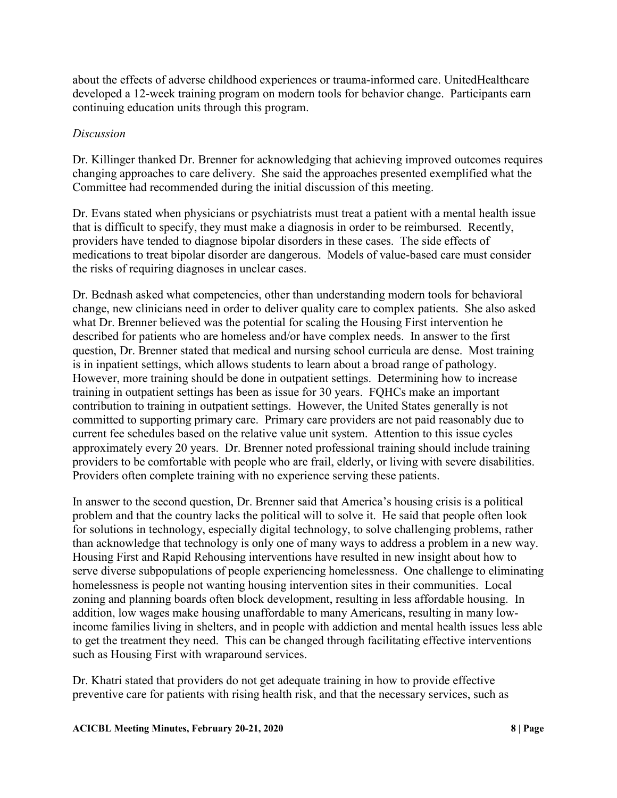about the effects of adverse childhood experiences or trauma-informed care. UnitedHealthcare developed a 12-week training program on modern tools for behavior change. Participants earn continuing education units through this program.

### *Discussion*

Dr. Killinger thanked Dr. Brenner for acknowledging that achieving improved outcomes requires changing approaches to care delivery. She said the approaches presented exemplified what the Committee had recommended during the initial discussion of this meeting.

Dr. Evans stated when physicians or psychiatrists must treat a patient with a mental health issue that is difficult to specify, they must make a diagnosis in order to be reimbursed. Recently, providers have tended to diagnose bipolar disorders in these cases. The side effects of medications to treat bipolar disorder are dangerous. Models of value-based care must consider the risks of requiring diagnoses in unclear cases.

Dr. Bednash asked what competencies, other than understanding modern tools for behavioral change, new clinicians need in order to deliver quality care to complex patients. She also asked what Dr. Brenner believed was the potential for scaling the Housing First intervention he described for patients who are homeless and/or have complex needs. In answer to the first question, Dr. Brenner stated that medical and nursing school curricula are dense. Most training is in inpatient settings, which allows students to learn about a broad range of pathology. However, more training should be done in outpatient settings. Determining how to increase training in outpatient settings has been as issue for 30 years. FQHCs make an important contribution to training in outpatient settings. However, the United States generally is not committed to supporting primary care. Primary care providers are not paid reasonably due to current fee schedules based on the relative value unit system. Attention to this issue cycles approximately every 20 years. Dr. Brenner noted professional training should include training providers to be comfortable with people who are frail, elderly, or living with severe disabilities. Providers often complete training with no experience serving these patients.

In answer to the second question, Dr. Brenner said that America's housing crisis is a political problem and that the country lacks the political will to solve it. He said that people often look for solutions in technology, especially digital technology, to solve challenging problems, rather than acknowledge that technology is only one of many ways to address a problem in a new way. Housing First and Rapid Rehousing interventions have resulted in new insight about how to serve diverse subpopulations of people experiencing homelessness. One challenge to eliminating homelessness is people not wanting housing intervention sites in their communities. Local zoning and planning boards often block development, resulting in less affordable housing. In addition, low wages make housing unaffordable to many Americans, resulting in many lowincome families living in shelters, and in people with addiction and mental health issues less able to get the treatment they need. This can be changed through facilitating effective interventions such as Housing First with wraparound services.

Dr. Khatri stated that providers do not get adequate training in how to provide effective preventive care for patients with rising health risk, and that the necessary services, such as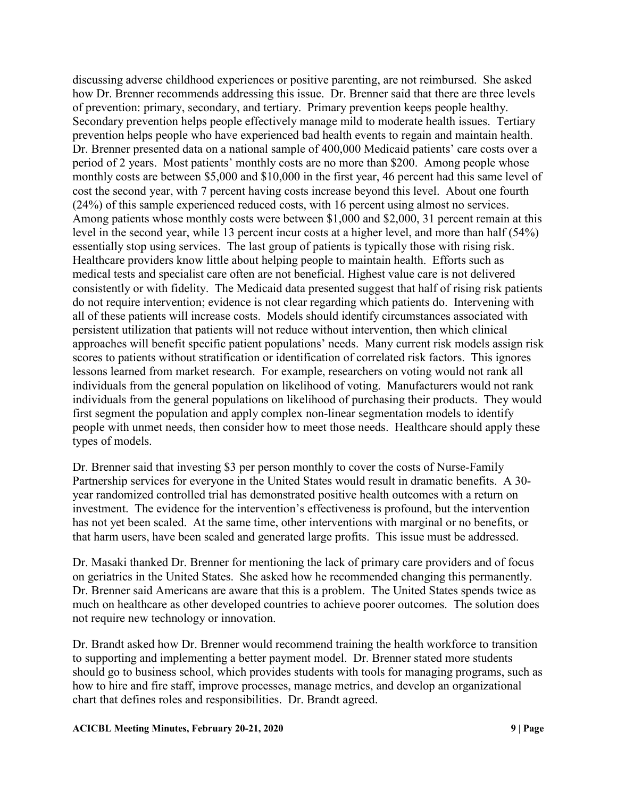discussing adverse childhood experiences or positive parenting, are not reimbursed. She asked how Dr. Brenner recommends addressing this issue. Dr. Brenner said that there are three levels of prevention: primary, secondary, and tertiary. Primary prevention keeps people healthy. Secondary prevention helps people effectively manage mild to moderate health issues. Tertiary prevention helps people who have experienced bad health events to regain and maintain health. Dr. Brenner presented data on a national sample of 400,000 Medicaid patients' care costs over a period of 2 years. Most patients' monthly costs are no more than \$200. Among people whose monthly costs are between \$5,000 and \$10,000 in the first year, 46 percent had this same level of cost the second year, with 7 percent having costs increase beyond this level. About one fourth (24%) of this sample experienced reduced costs, with 16 percent using almost no services. Among patients whose monthly costs were between \$1,000 and \$2,000, 31 percent remain at this level in the second year, while 13 percent incur costs at a higher level, and more than half (54%) essentially stop using services. The last group of patients is typically those with rising risk. Healthcare providers know little about helping people to maintain health. Efforts such as medical tests and specialist care often are not beneficial. Highest value care is not delivered consistently or with fidelity. The Medicaid data presented suggest that half of rising risk patients do not require intervention; evidence is not clear regarding which patients do. Intervening with all of these patients will increase costs. Models should identify circumstances associated with persistent utilization that patients will not reduce without intervention, then which clinical approaches will benefit specific patient populations' needs. Many current risk models assign risk scores to patients without stratification or identification of correlated risk factors. This ignores lessons learned from market research. For example, researchers on voting would not rank all individuals from the general population on likelihood of voting. Manufacturers would not rank individuals from the general populations on likelihood of purchasing their products. They would first segment the population and apply complex non-linear segmentation models to identify people with unmet needs, then consider how to meet those needs. Healthcare should apply these types of models.

Dr. Brenner said that investing \$3 per person monthly to cover the costs of Nurse-Family Partnership services for everyone in the United States would result in dramatic benefits. A 30 year randomized controlled trial has demonstrated positive health outcomes with a return on investment. The evidence for the intervention's effectiveness is profound, but the intervention has not yet been scaled. At the same time, other interventions with marginal or no benefits, or that harm users, have been scaled and generated large profits. This issue must be addressed.

Dr. Masaki thanked Dr. Brenner for mentioning the lack of primary care providers and of focus on geriatrics in the United States. She asked how he recommended changing this permanently. Dr. Brenner said Americans are aware that this is a problem. The United States spends twice as much on healthcare as other developed countries to achieve poorer outcomes. The solution does not require new technology or innovation.

Dr. Brandt asked how Dr. Brenner would recommend training the health workforce to transition to supporting and implementing a better payment model. Dr. Brenner stated more students should go to business school, which provides students with tools for managing programs, such as how to hire and fire staff, improve processes, manage metrics, and develop an organizational chart that defines roles and responsibilities. Dr. Brandt agreed.

#### **ACICBL Meeting Minutes, February 20-21, 2020 9 | Page**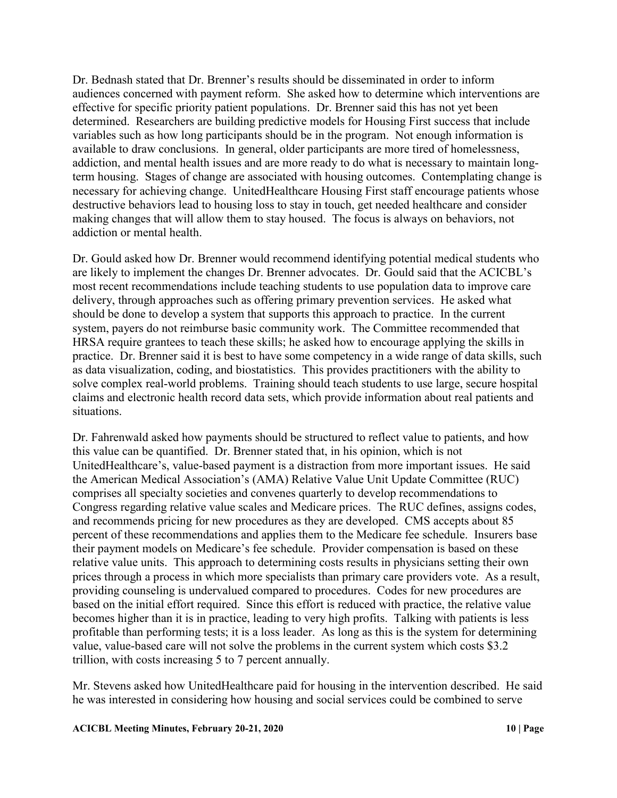Dr. Bednash stated that Dr. Brenner's results should be disseminated in order to inform audiences concerned with payment reform. She asked how to determine which interventions are effective for specific priority patient populations. Dr. Brenner said this has not yet been determined. Researchers are building predictive models for Housing First success that include variables such as how long participants should be in the program. Not enough information is available to draw conclusions. In general, older participants are more tired of homelessness, addiction, and mental health issues and are more ready to do what is necessary to maintain longterm housing. Stages of change are associated with housing outcomes. Contemplating change is necessary for achieving change. UnitedHealthcare Housing First staff encourage patients whose destructive behaviors lead to housing loss to stay in touch, get needed healthcare and consider making changes that will allow them to stay housed. The focus is always on behaviors, not addiction or mental health.

Dr. Gould asked how Dr. Brenner would recommend identifying potential medical students who are likely to implement the changes Dr. Brenner advocates. Dr. Gould said that the ACICBL's most recent recommendations include teaching students to use population data to improve care delivery, through approaches such as offering primary prevention services. He asked what should be done to develop a system that supports this approach to practice. In the current system, payers do not reimburse basic community work. The Committee recommended that HRSA require grantees to teach these skills; he asked how to encourage applying the skills in practice. Dr. Brenner said it is best to have some competency in a wide range of data skills, such as data visualization, coding, and biostatistics. This provides practitioners with the ability to solve complex real-world problems. Training should teach students to use large, secure hospital claims and electronic health record data sets, which provide information about real patients and situations.

Dr. Fahrenwald asked how payments should be structured to reflect value to patients, and how this value can be quantified. Dr. Brenner stated that, in his opinion, which is not UnitedHealthcare's, value-based payment is a distraction from more important issues. He said the American Medical Association's (AMA) Relative Value Unit Update Committee (RUC) comprises all specialty societies and convenes quarterly to develop recommendations to Congress regarding relative value scales and Medicare prices. The RUC defines, assigns codes, and recommends pricing for new procedures as they are developed. CMS accepts about 85 percent of these recommendations and applies them to the Medicare fee schedule. Insurers base their payment models on Medicare's fee schedule. Provider compensation is based on these relative value units. This approach to determining costs results in physicians setting their own prices through a process in which more specialists than primary care providers vote. As a result, providing counseling is undervalued compared to procedures. Codes for new procedures are based on the initial effort required. Since this effort is reduced with practice, the relative value becomes higher than it is in practice, leading to very high profits. Talking with patients is less profitable than performing tests; it is a loss leader. As long as this is the system for determining value, value-based care will not solve the problems in the current system which costs \$3.2 trillion, with costs increasing 5 to 7 percent annually.

Mr. Stevens asked how UnitedHealthcare paid for housing in the intervention described. He said he was interested in considering how housing and social services could be combined to serve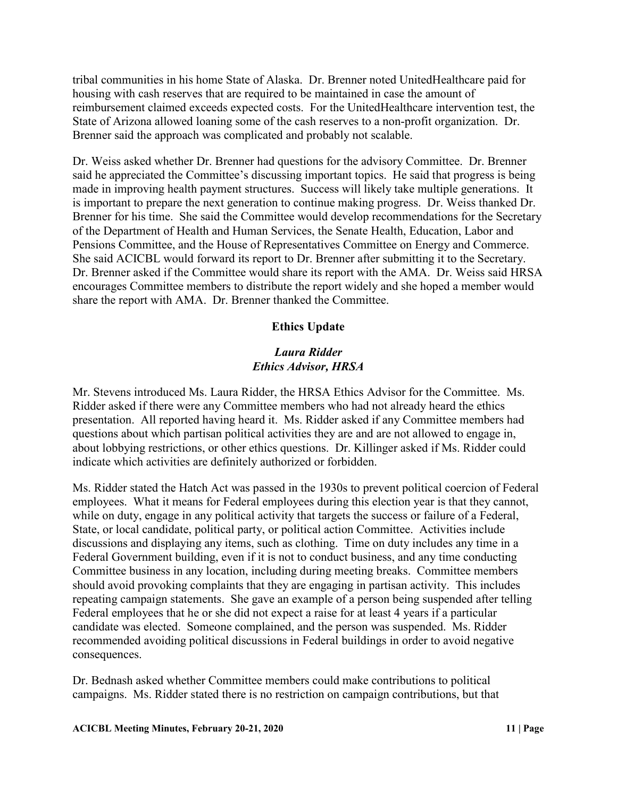tribal communities in his home State of Alaska. Dr. Brenner noted UnitedHealthcare paid for housing with cash reserves that are required to be maintained in case the amount of reimbursement claimed exceeds expected costs. For the UnitedHealthcare intervention test, the State of Arizona allowed loaning some of the cash reserves to a non-profit organization. Dr. Brenner said the approach was complicated and probably not scalable.

Dr. Weiss asked whether Dr. Brenner had questions for the advisory Committee. Dr. Brenner said he appreciated the Committee's discussing important topics. He said that progress is being made in improving health payment structures. Success will likely take multiple generations. It is important to prepare the next generation to continue making progress. Dr. Weiss thanked Dr. Brenner for his time. She said the Committee would develop recommendations for the Secretary of the Department of Health and Human Services, the Senate Health, Education, Labor and Pensions Committee, and the House of Representatives Committee on Energy and Commerce. She said ACICBL would forward its report to Dr. Brenner after submitting it to the Secretary. Dr. Brenner asked if the Committee would share its report with the AMA. Dr. Weiss said HRSA encourages Committee members to distribute the report widely and she hoped a member would share the report with AMA. Dr. Brenner thanked the Committee.

## **Ethics Update**

### *Laura Ridder Ethics Advisor, HRSA*

Mr. Stevens introduced Ms. Laura Ridder, the HRSA Ethics Advisor for the Committee. Ms. Ridder asked if there were any Committee members who had not already heard the ethics presentation. All reported having heard it. Ms. Ridder asked if any Committee members had questions about which partisan political activities they are and are not allowed to engage in, about lobbying restrictions, or other ethics questions. Dr. Killinger asked if Ms. Ridder could indicate which activities are definitely authorized or forbidden.

Ms. Ridder stated the Hatch Act was passed in the 1930s to prevent political coercion of Federal employees. What it means for Federal employees during this election year is that they cannot, while on duty, engage in any political activity that targets the success or failure of a Federal, State, or local candidate, political party, or political action Committee. Activities include discussions and displaying any items, such as clothing. Time on duty includes any time in a Federal Government building, even if it is not to conduct business, and any time conducting Committee business in any location, including during meeting breaks. Committee members should avoid provoking complaints that they are engaging in partisan activity. This includes repeating campaign statements. She gave an example of a person being suspended after telling Federal employees that he or she did not expect a raise for at least 4 years if a particular candidate was elected. Someone complained, and the person was suspended. Ms. Ridder recommended avoiding political discussions in Federal buildings in order to avoid negative consequences.

Dr. Bednash asked whether Committee members could make contributions to political campaigns. Ms. Ridder stated there is no restriction on campaign contributions, but that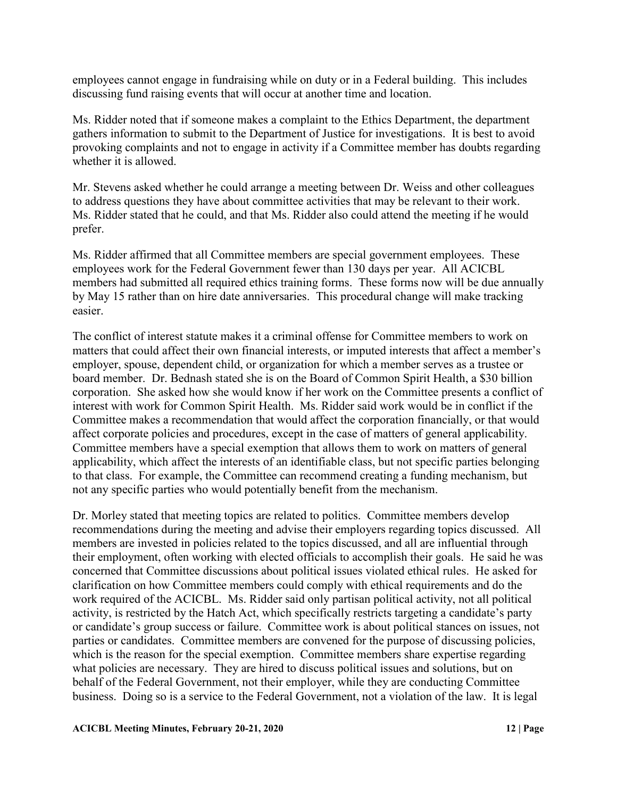employees cannot engage in fundraising while on duty or in a Federal building. This includes discussing fund raising events that will occur at another time and location.

Ms. Ridder noted that if someone makes a complaint to the Ethics Department, the department gathers information to submit to the Department of Justice for investigations. It is best to avoid provoking complaints and not to engage in activity if a Committee member has doubts regarding whether it is allowed.

Mr. Stevens asked whether he could arrange a meeting between Dr. Weiss and other colleagues to address questions they have about committee activities that may be relevant to their work. Ms. Ridder stated that he could, and that Ms. Ridder also could attend the meeting if he would prefer.

Ms. Ridder affirmed that all Committee members are special government employees. These employees work for the Federal Government fewer than 130 days per year. All ACICBL members had submitted all required ethics training forms. These forms now will be due annually by May 15 rather than on hire date anniversaries. This procedural change will make tracking easier.

The conflict of interest statute makes it a criminal offense for Committee members to work on matters that could affect their own financial interests, or imputed interests that affect a member's employer, spouse, dependent child, or organization for which a member serves as a trustee or board member. Dr. Bednash stated she is on the Board of Common Spirit Health, a \$30 billion corporation. She asked how she would know if her work on the Committee presents a conflict of interest with work for Common Spirit Health. Ms. Ridder said work would be in conflict if the Committee makes a recommendation that would affect the corporation financially, or that would affect corporate policies and procedures, except in the case of matters of general applicability. Committee members have a special exemption that allows them to work on matters of general applicability, which affect the interests of an identifiable class, but not specific parties belonging to that class. For example, the Committee can recommend creating a funding mechanism, but not any specific parties who would potentially benefit from the mechanism.

Dr. Morley stated that meeting topics are related to politics. Committee members develop recommendations during the meeting and advise their employers regarding topics discussed. All members are invested in policies related to the topics discussed, and all are influential through their employment, often working with elected officials to accomplish their goals. He said he was concerned that Committee discussions about political issues violated ethical rules. He asked for clarification on how Committee members could comply with ethical requirements and do the work required of the ACICBL. Ms. Ridder said only partisan political activity, not all political activity, is restricted by the Hatch Act, which specifically restricts targeting a candidate's party or candidate's group success or failure. Committee work is about political stances on issues, not parties or candidates. Committee members are convened for the purpose of discussing policies, which is the reason for the special exemption. Committee members share expertise regarding what policies are necessary. They are hired to discuss political issues and solutions, but on behalf of the Federal Government, not their employer, while they are conducting Committee business. Doing so is a service to the Federal Government, not a violation of the law. It is legal

#### **ACICBL Meeting Minutes, February 20-21, 2020 12 | Page**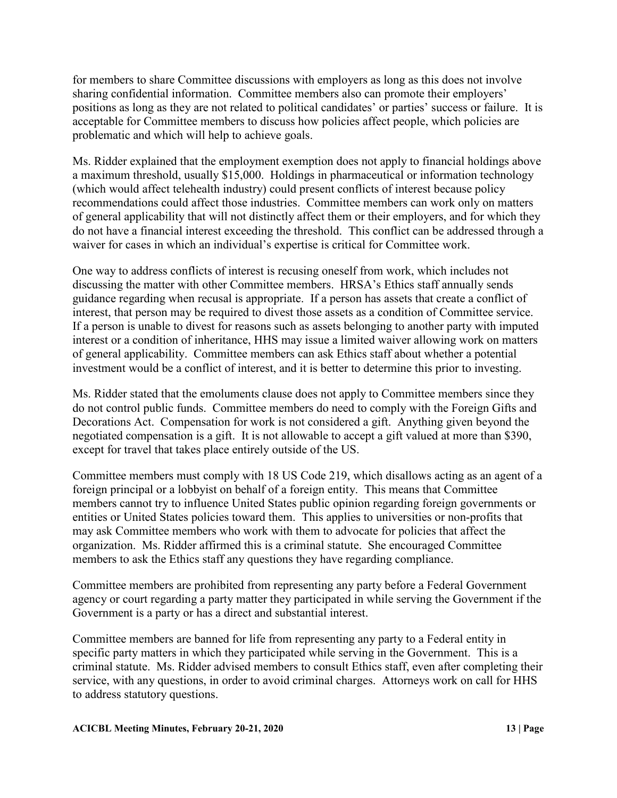for members to share Committee discussions with employers as long as this does not involve sharing confidential information. Committee members also can promote their employers' positions as long as they are not related to political candidates' or parties' success or failure. It is acceptable for Committee members to discuss how policies affect people, which policies are problematic and which will help to achieve goals.

Ms. Ridder explained that the employment exemption does not apply to financial holdings above a maximum threshold, usually \$15,000. Holdings in pharmaceutical or information technology (which would affect telehealth industry) could present conflicts of interest because policy recommendations could affect those industries. Committee members can work only on matters of general applicability that will not distinctly affect them or their employers, and for which they do not have a financial interest exceeding the threshold. This conflict can be addressed through a waiver for cases in which an individual's expertise is critical for Committee work.

One way to address conflicts of interest is recusing oneself from work, which includes not discussing the matter with other Committee members. HRSA's Ethics staff annually sends guidance regarding when recusal is appropriate. If a person has assets that create a conflict of interest, that person may be required to divest those assets as a condition of Committee service. If a person is unable to divest for reasons such as assets belonging to another party with imputed interest or a condition of inheritance, HHS may issue a limited waiver allowing work on matters of general applicability. Committee members can ask Ethics staff about whether a potential investment would be a conflict of interest, and it is better to determine this prior to investing.

Ms. Ridder stated that the emoluments clause does not apply to Committee members since they do not control public funds. Committee members do need to comply with the Foreign Gifts and Decorations Act. Compensation for work is not considered a gift. Anything given beyond the negotiated compensation is a gift. It is not allowable to accept a gift valued at more than \$390, except for travel that takes place entirely outside of the US.

Committee members must comply with 18 US Code 219, which disallows acting as an agent of a foreign principal or a lobbyist on behalf of a foreign entity. This means that Committee members cannot try to influence United States public opinion regarding foreign governments or entities or United States policies toward them. This applies to universities or non-profits that may ask Committee members who work with them to advocate for policies that affect the organization. Ms. Ridder affirmed this is a criminal statute. She encouraged Committee members to ask the Ethics staff any questions they have regarding compliance.

Committee members are prohibited from representing any party before a Federal Government agency or court regarding a party matter they participated in while serving the Government if the Government is a party or has a direct and substantial interest.

Committee members are banned for life from representing any party to a Federal entity in specific party matters in which they participated while serving in the Government. This is a criminal statute. Ms. Ridder advised members to consult Ethics staff, even after completing their service, with any questions, in order to avoid criminal charges. Attorneys work on call for HHS to address statutory questions.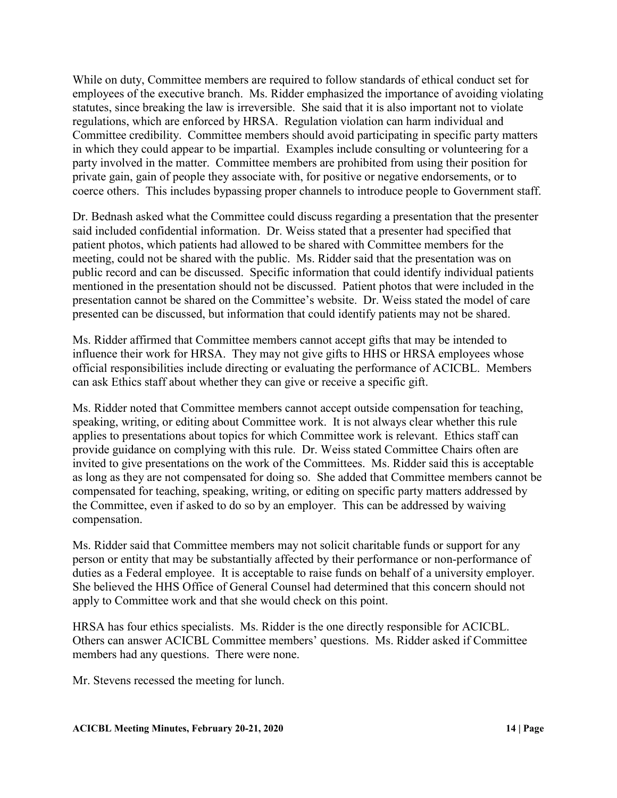While on duty, Committee members are required to follow standards of ethical conduct set for employees of the executive branch. Ms. Ridder emphasized the importance of avoiding violating statutes, since breaking the law is irreversible. She said that it is also important not to violate regulations, which are enforced by HRSA. Regulation violation can harm individual and Committee credibility. Committee members should avoid participating in specific party matters in which they could appear to be impartial. Examples include consulting or volunteering for a party involved in the matter. Committee members are prohibited from using their position for private gain, gain of people they associate with, for positive or negative endorsements, or to coerce others. This includes bypassing proper channels to introduce people to Government staff.

Dr. Bednash asked what the Committee could discuss regarding a presentation that the presenter said included confidential information. Dr. Weiss stated that a presenter had specified that patient photos, which patients had allowed to be shared with Committee members for the meeting, could not be shared with the public. Ms. Ridder said that the presentation was on public record and can be discussed. Specific information that could identify individual patients mentioned in the presentation should not be discussed. Patient photos that were included in the presentation cannot be shared on the Committee's website. Dr. Weiss stated the model of care presented can be discussed, but information that could identify patients may not be shared.

Ms. Ridder affirmed that Committee members cannot accept gifts that may be intended to influence their work for HRSA. They may not give gifts to HHS or HRSA employees whose official responsibilities include directing or evaluating the performance of ACICBL. Members can ask Ethics staff about whether they can give or receive a specific gift.

Ms. Ridder noted that Committee members cannot accept outside compensation for teaching, speaking, writing, or editing about Committee work. It is not always clear whether this rule applies to presentations about topics for which Committee work is relevant. Ethics staff can provide guidance on complying with this rule. Dr. Weiss stated Committee Chairs often are invited to give presentations on the work of the Committees. Ms. Ridder said this is acceptable as long as they are not compensated for doing so. She added that Committee members cannot be compensated for teaching, speaking, writing, or editing on specific party matters addressed by the Committee, even if asked to do so by an employer. This can be addressed by waiving compensation.

Ms. Ridder said that Committee members may not solicit charitable funds or support for any person or entity that may be substantially affected by their performance or non-performance of duties as a Federal employee. It is acceptable to raise funds on behalf of a university employer. She believed the HHS Office of General Counsel had determined that this concern should not apply to Committee work and that she would check on this point.

HRSA has four ethics specialists. Ms. Ridder is the one directly responsible for ACICBL. Others can answer ACICBL Committee members' questions. Ms. Ridder asked if Committee members had any questions. There were none.

Mr. Stevens recessed the meeting for lunch.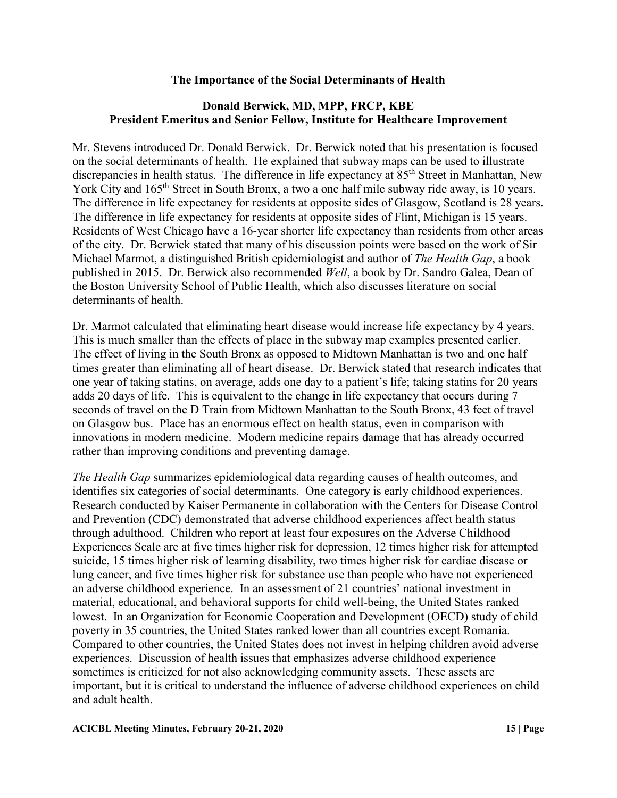## **The Importance of the Social Determinants of Health**

# **Donald Berwick, MD, MPP, FRCP, KBE President Emeritus and Senior Fellow, Institute for Healthcare Improvement**

Mr. Stevens introduced Dr. Donald Berwick. Dr. Berwick noted that his presentation is focused on the social determinants of health. He explained that subway maps can be used to illustrate discrepancies in health status. The difference in life expectancy at 85<sup>th</sup> Street in Manhattan, New York City and 165<sup>th</sup> Street in South Bronx, a two a one half mile subway ride away, is 10 years. The difference in life expectancy for residents at opposite sides of Glasgow, Scotland is 28 years. The difference in life expectancy for residents at opposite sides of Flint, Michigan is 15 years. Residents of West Chicago have a 16-year shorter life expectancy than residents from other areas of the city. Dr. Berwick stated that many of his discussion points were based on the work of Sir Michael Marmot, a distinguished British epidemiologist and author of *The Health Gap*, a book published in 2015. Dr. Berwick also recommended *Well*, a book by Dr. Sandro Galea, Dean of the Boston University School of Public Health, which also discusses literature on social determinants of health.

Dr. Marmot calculated that eliminating heart disease would increase life expectancy by 4 years. This is much smaller than the effects of place in the subway map examples presented earlier. The effect of living in the South Bronx as opposed to Midtown Manhattan is two and one half times greater than eliminating all of heart disease. Dr. Berwick stated that research indicates that one year of taking statins, on average, adds one day to a patient's life; taking statins for 20 years adds 20 days of life. This is equivalent to the change in life expectancy that occurs during 7 seconds of travel on the D Train from Midtown Manhattan to the South Bronx, 43 feet of travel on Glasgow bus. Place has an enormous effect on health status, even in comparison with innovations in modern medicine. Modern medicine repairs damage that has already occurred rather than improving conditions and preventing damage.

*The Health Gap* summarizes epidemiological data regarding causes of health outcomes, and identifies six categories of social determinants. One category is early childhood experiences. Research conducted by Kaiser Permanente in collaboration with the Centers for Disease Control and Prevention (CDC) demonstrated that adverse childhood experiences affect health status through adulthood. Children who report at least four exposures on the Adverse Childhood Experiences Scale are at five times higher risk for depression, 12 times higher risk for attempted suicide, 15 times higher risk of learning disability, two times higher risk for cardiac disease or lung cancer, and five times higher risk for substance use than people who have not experienced an adverse childhood experience. In an assessment of 21 countries' national investment in material, educational, and behavioral supports for child well-being, the United States ranked lowest. In an Organization for Economic Cooperation and Development (OECD) study of child poverty in 35 countries, the United States ranked lower than all countries except Romania. Compared to other countries, the United States does not invest in helping children avoid adverse experiences. Discussion of health issues that emphasizes adverse childhood experience sometimes is criticized for not also acknowledging community assets. These assets are important, but it is critical to understand the influence of adverse childhood experiences on child and adult health.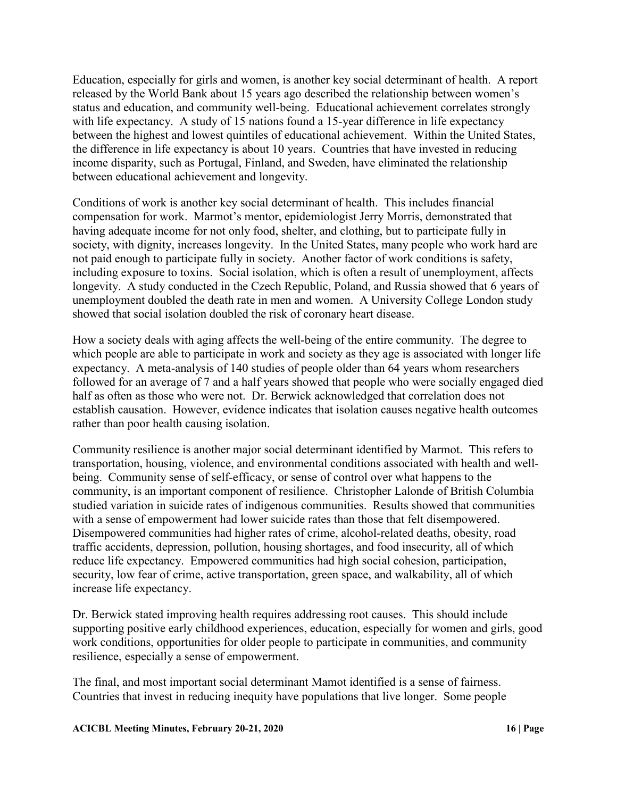Education, especially for girls and women, is another key social determinant of health. A report released by the World Bank about 15 years ago described the relationship between women's status and education, and community well-being. Educational achievement correlates strongly with life expectancy. A study of 15 nations found a 15-year difference in life expectancy between the highest and lowest quintiles of educational achievement. Within the United States, the difference in life expectancy is about 10 years. Countries that have invested in reducing income disparity, such as Portugal, Finland, and Sweden, have eliminated the relationship between educational achievement and longevity.

Conditions of work is another key social determinant of health. This includes financial compensation for work. Marmot's mentor, epidemiologist Jerry Morris, demonstrated that having adequate income for not only food, shelter, and clothing, but to participate fully in society, with dignity, increases longevity. In the United States, many people who work hard are not paid enough to participate fully in society. Another factor of work conditions is safety, including exposure to toxins. Social isolation, which is often a result of unemployment, affects longevity. A study conducted in the Czech Republic, Poland, and Russia showed that 6 years of unemployment doubled the death rate in men and women. A University College London study showed that social isolation doubled the risk of coronary heart disease.

How a society deals with aging affects the well-being of the entire community. The degree to which people are able to participate in work and society as they age is associated with longer life expectancy. A meta-analysis of 140 studies of people older than 64 years whom researchers followed for an average of 7 and a half years showed that people who were socially engaged died half as often as those who were not. Dr. Berwick acknowledged that correlation does not establish causation. However, evidence indicates that isolation causes negative health outcomes rather than poor health causing isolation.

Community resilience is another major social determinant identified by Marmot. This refers to transportation, housing, violence, and environmental conditions associated with health and wellbeing. Community sense of self-efficacy, or sense of control over what happens to the community, is an important component of resilience. Christopher Lalonde of British Columbia studied variation in suicide rates of indigenous communities. Results showed that communities with a sense of empowerment had lower suicide rates than those that felt disempowered. Disempowered communities had higher rates of crime, alcohol-related deaths, obesity, road traffic accidents, depression, pollution, housing shortages, and food insecurity, all of which reduce life expectancy. Empowered communities had high social cohesion, participation, security, low fear of crime, active transportation, green space, and walkability, all of which increase life expectancy.

Dr. Berwick stated improving health requires addressing root causes. This should include supporting positive early childhood experiences, education, especially for women and girls, good work conditions, opportunities for older people to participate in communities, and community resilience, especially a sense of empowerment.

The final, and most important social determinant Mamot identified is a sense of fairness. Countries that invest in reducing inequity have populations that live longer. Some people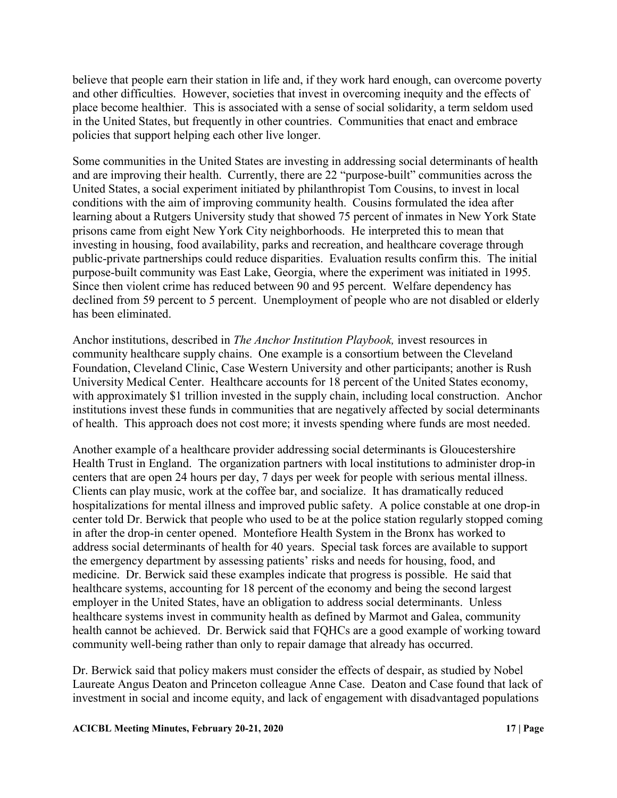believe that people earn their station in life and, if they work hard enough, can overcome poverty and other difficulties. However, societies that invest in overcoming inequity and the effects of place become healthier. This is associated with a sense of social solidarity, a term seldom used in the United States, but frequently in other countries. Communities that enact and embrace policies that support helping each other live longer.

Some communities in the United States are investing in addressing social determinants of health and are improving their health. Currently, there are 22 "purpose-built" communities across the United States, a social experiment initiated by philanthropist Tom Cousins, to invest in local conditions with the aim of improving community health. Cousins formulated the idea after learning about a Rutgers University study that showed 75 percent of inmates in New York State prisons came from eight New York City neighborhoods. He interpreted this to mean that investing in housing, food availability, parks and recreation, and healthcare coverage through public-private partnerships could reduce disparities. Evaluation results confirm this. The initial purpose-built community was East Lake, Georgia, where the experiment was initiated in 1995. Since then violent crime has reduced between 90 and 95 percent. Welfare dependency has declined from 59 percent to 5 percent. Unemployment of people who are not disabled or elderly has been eliminated.

Anchor institutions, described in *The Anchor Institution Playbook,* invest resources in community healthcare supply chains. One example is a consortium between the Cleveland Foundation, Cleveland Clinic, Case Western University and other participants; another is Rush University Medical Center. Healthcare accounts for 18 percent of the United States economy, with approximately \$1 trillion invested in the supply chain, including local construction. Anchor institutions invest these funds in communities that are negatively affected by social determinants of health. This approach does not cost more; it invests spending where funds are most needed.

Another example of a healthcare provider addressing social determinants is Gloucestershire Health Trust in England. The organization partners with local institutions to administer drop-in centers that are open 24 hours per day, 7 days per week for people with serious mental illness. Clients can play music, work at the coffee bar, and socialize. It has dramatically reduced hospitalizations for mental illness and improved public safety. A police constable at one drop-in center told Dr. Berwick that people who used to be at the police station regularly stopped coming in after the drop-in center opened. Montefiore Health System in the Bronx has worked to address social determinants of health for 40 years. Special task forces are available to support the emergency department by assessing patients' risks and needs for housing, food, and medicine. Dr. Berwick said these examples indicate that progress is possible. He said that healthcare systems, accounting for 18 percent of the economy and being the second largest employer in the United States, have an obligation to address social determinants. Unless healthcare systems invest in community health as defined by Marmot and Galea, community health cannot be achieved. Dr. Berwick said that FQHCs are a good example of working toward community well-being rather than only to repair damage that already has occurred.

Dr. Berwick said that policy makers must consider the effects of despair, as studied by Nobel Laureate Angus Deaton and Princeton colleague Anne Case. Deaton and Case found that lack of investment in social and income equity, and lack of engagement with disadvantaged populations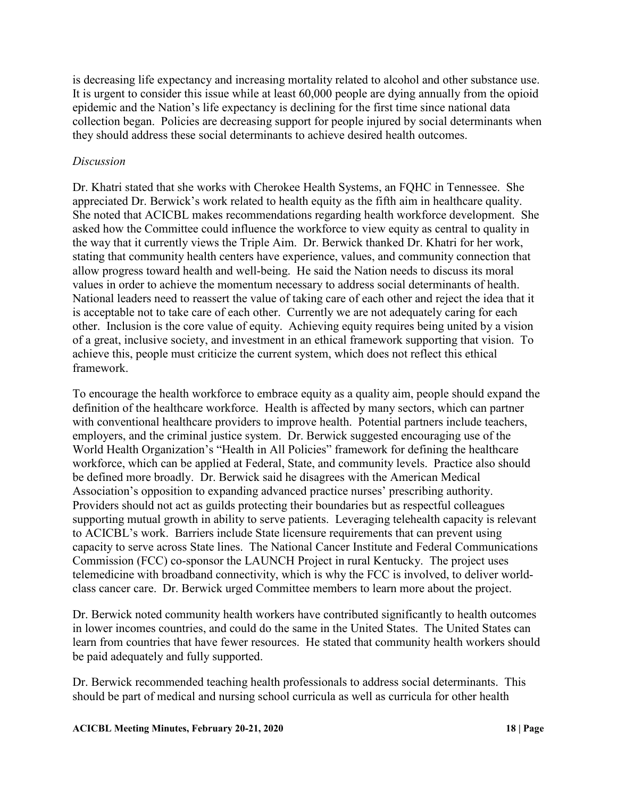is decreasing life expectancy and increasing mortality related to alcohol and other substance use. It is urgent to consider this issue while at least 60,000 people are dying annually from the opioid epidemic and the Nation's life expectancy is declining for the first time since national data collection began. Policies are decreasing support for people injured by social determinants when they should address these social determinants to achieve desired health outcomes.

## *Discussion*

Dr. Khatri stated that she works with Cherokee Health Systems, an FQHC in Tennessee. She appreciated Dr. Berwick's work related to health equity as the fifth aim in healthcare quality. She noted that ACICBL makes recommendations regarding health workforce development. She asked how the Committee could influence the workforce to view equity as central to quality in the way that it currently views the Triple Aim. Dr. Berwick thanked Dr. Khatri for her work, stating that community health centers have experience, values, and community connection that allow progress toward health and well-being. He said the Nation needs to discuss its moral values in order to achieve the momentum necessary to address social determinants of health. National leaders need to reassert the value of taking care of each other and reject the idea that it is acceptable not to take care of each other. Currently we are not adequately caring for each other. Inclusion is the core value of equity. Achieving equity requires being united by a vision of a great, inclusive society, and investment in an ethical framework supporting that vision. To achieve this, people must criticize the current system, which does not reflect this ethical framework.

To encourage the health workforce to embrace equity as a quality aim, people should expand the definition of the healthcare workforce. Health is affected by many sectors, which can partner with conventional healthcare providers to improve health. Potential partners include teachers, employers, and the criminal justice system. Dr. Berwick suggested encouraging use of the World Health Organization's "Health in All Policies" framework for defining the healthcare workforce, which can be applied at Federal, State, and community levels. Practice also should be defined more broadly. Dr. Berwick said he disagrees with the American Medical Association's opposition to expanding advanced practice nurses' prescribing authority. Providers should not act as guilds protecting their boundaries but as respectful colleagues supporting mutual growth in ability to serve patients. Leveraging telehealth capacity is relevant to ACICBL's work. Barriers include State licensure requirements that can prevent using capacity to serve across State lines. The National Cancer Institute and Federal Communications Commission (FCC) co-sponsor the LAUNCH Project in rural Kentucky. The project uses telemedicine with broadband connectivity, which is why the FCC is involved, to deliver worldclass cancer care. Dr. Berwick urged Committee members to learn more about the project.

Dr. Berwick noted community health workers have contributed significantly to health outcomes in lower incomes countries, and could do the same in the United States. The United States can learn from countries that have fewer resources. He stated that community health workers should be paid adequately and fully supported.

Dr. Berwick recommended teaching health professionals to address social determinants. This should be part of medical and nursing school curricula as well as curricula for other health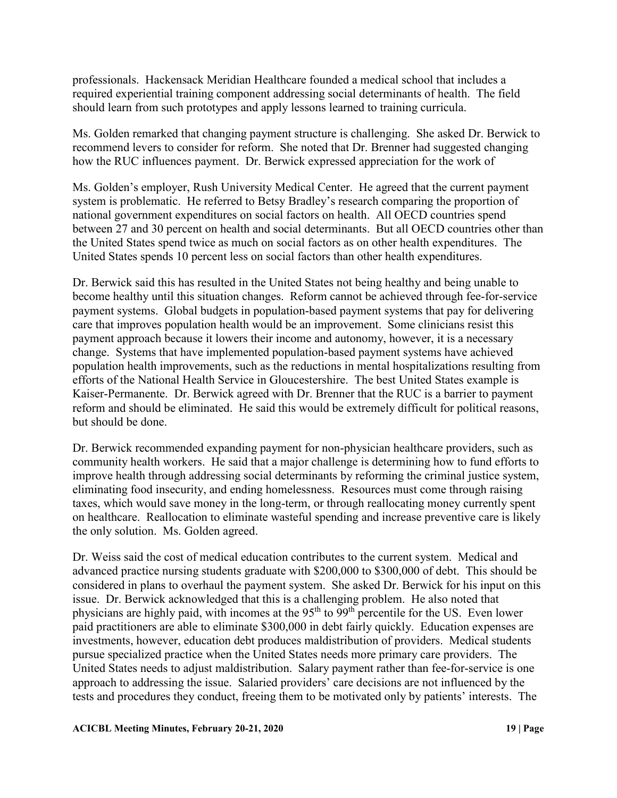professionals. Hackensack Meridian Healthcare founded a medical school that includes a required experiential training component addressing social determinants of health. The field should learn from such prototypes and apply lessons learned to training curricula.

Ms. Golden remarked that changing payment structure is challenging. She asked Dr. Berwick to recommend levers to consider for reform. She noted that Dr. Brenner had suggested changing how the RUC influences payment. Dr. Berwick expressed appreciation for the work of

Ms. Golden's employer, Rush University Medical Center. He agreed that the current payment system is problematic. He referred to Betsy Bradley's research comparing the proportion of national government expenditures on social factors on health. All OECD countries spend between 27 and 30 percent on health and social determinants. But all OECD countries other than the United States spend twice as much on social factors as on other health expenditures. The United States spends 10 percent less on social factors than other health expenditures.

Dr. Berwick said this has resulted in the United States not being healthy and being unable to become healthy until this situation changes. Reform cannot be achieved through fee-for-service payment systems. Global budgets in population-based payment systems that pay for delivering care that improves population health would be an improvement. Some clinicians resist this payment approach because it lowers their income and autonomy, however, it is a necessary change. Systems that have implemented population-based payment systems have achieved population health improvements, such as the reductions in mental hospitalizations resulting from efforts of the National Health Service in Gloucestershire. The best United States example is Kaiser-Permanente. Dr. Berwick agreed with Dr. Brenner that the RUC is a barrier to payment reform and should be eliminated. He said this would be extremely difficult for political reasons, but should be done.

Dr. Berwick recommended expanding payment for non-physician healthcare providers, such as community health workers. He said that a major challenge is determining how to fund efforts to improve health through addressing social determinants by reforming the criminal justice system, eliminating food insecurity, and ending homelessness. Resources must come through raising taxes, which would save money in the long-term, or through reallocating money currently spent on healthcare. Reallocation to eliminate wasteful spending and increase preventive care is likely the only solution. Ms. Golden agreed.

Dr. Weiss said the cost of medical education contributes to the current system. Medical and advanced practice nursing students graduate with \$200,000 to \$300,000 of debt. This should be considered in plans to overhaul the payment system. She asked Dr. Berwick for his input on this issue. Dr. Berwick acknowledged that this is a challenging problem. He also noted that physicians are highly paid, with incomes at the 95<sup>th</sup> to 99<sup>th</sup> percentile for the US. Even lower paid practitioners are able to eliminate \$300,000 in debt fairly quickly. Education expenses are investments, however, education debt produces maldistribution of providers. Medical students pursue specialized practice when the United States needs more primary care providers. The United States needs to adjust maldistribution. Salary payment rather than fee-for-service is one approach to addressing the issue. Salaried providers' care decisions are not influenced by the tests and procedures they conduct, freeing them to be motivated only by patients' interests. The

#### **ACICBL Meeting Minutes, February 20-21, 2020 19 | Page**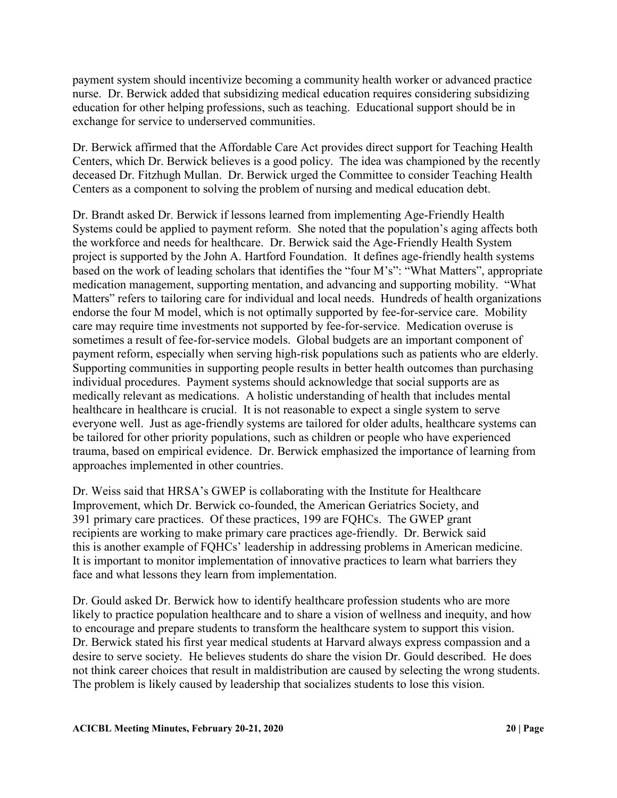payment system should incentivize becoming a community health worker or advanced practice nurse. Dr. Berwick added that subsidizing medical education requires considering subsidizing education for other helping professions, such as teaching. Educational support should be in exchange for service to underserved communities.

Dr. Berwick affirmed that the Affordable Care Act provides direct support for Teaching Health Centers, which Dr. Berwick believes is a good policy. The idea was championed by the recently deceased Dr. Fitzhugh Mullan. Dr. Berwick urged the Committee to consider Teaching Health Centers as a component to solving the problem of nursing and medical education debt.

Dr. Brandt asked Dr. Berwick if lessons learned from implementing Age-Friendly Health Systems could be applied to payment reform. She noted that the population's aging affects both the workforce and needs for healthcare. Dr. Berwick said the Age-Friendly Health System project is supported by the John A. Hartford Foundation. It defines age-friendly health systems based on the work of leading scholars that identifies the "four M's": "What Matters", appropriate medication management, supporting mentation, and advancing and supporting mobility. "What Matters" refers to tailoring care for individual and local needs. Hundreds of health organizations endorse the four M model, which is not optimally supported by fee-for-service care. Mobility care may require time investments not supported by fee-for-service. Medication overuse is sometimes a result of fee-for-service models. Global budgets are an important component of payment reform, especially when serving high-risk populations such as patients who are elderly. Supporting communities in supporting people results in better health outcomes than purchasing individual procedures. Payment systems should acknowledge that social supports are as medically relevant as medications. A holistic understanding of health that includes mental healthcare in healthcare is crucial. It is not reasonable to expect a single system to serve everyone well. Just as age-friendly systems are tailored for older adults, healthcare systems can be tailored for other priority populations, such as children or people who have experienced trauma, based on empirical evidence. Dr. Berwick emphasized the importance of learning from approaches implemented in other countries.

Dr. Weiss said that HRSA's GWEP is collaborating with the Institute for Healthcare Improvement, which Dr. Berwick co-founded, the American Geriatrics Society, and 391 primary care practices. Of these practices, 199 are FQHCs. The GWEP grant recipients are working to make primary care practices age-friendly. Dr. Berwick said this is another example of FQHCs' leadership in addressing problems in American medicine. It is important to monitor implementation of innovative practices to learn what barriers they face and what lessons they learn from implementation.

Dr. Gould asked Dr. Berwick how to identify healthcare profession students who are more likely to practice population healthcare and to share a vision of wellness and inequity, and how to encourage and prepare students to transform the healthcare system to support this vision. Dr. Berwick stated his first year medical students at Harvard always express compassion and a desire to serve society. He believes students do share the vision Dr. Gould described. He does not think career choices that result in maldistribution are caused by selecting the wrong students. The problem is likely caused by leadership that socializes students to lose this vision.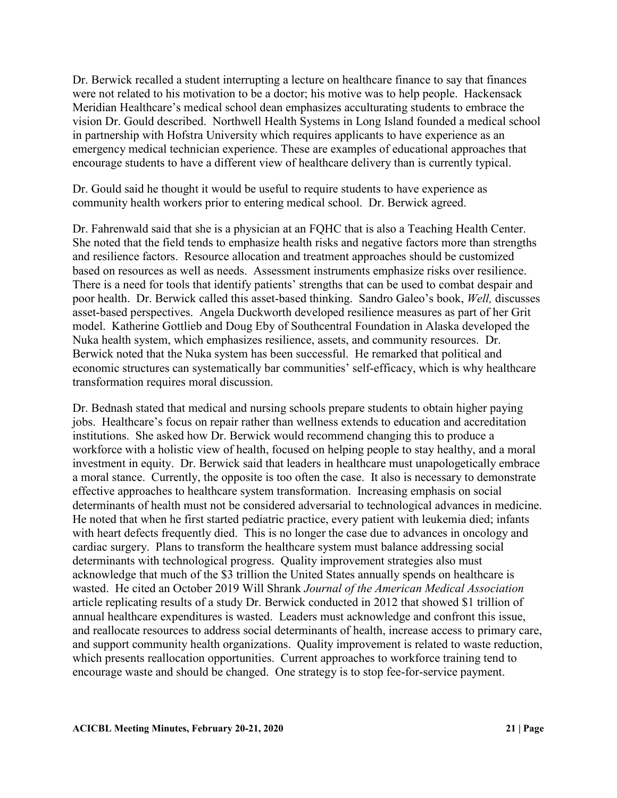Dr. Berwick recalled a student interrupting a lecture on healthcare finance to say that finances were not related to his motivation to be a doctor; his motive was to help people. Hackensack Meridian Healthcare's medical school dean emphasizes acculturating students to embrace the vision Dr. Gould described. Northwell Health Systems in Long Island founded a medical school in partnership with Hofstra University which requires applicants to have experience as an emergency medical technician experience. These are examples of educational approaches that encourage students to have a different view of healthcare delivery than is currently typical.

Dr. Gould said he thought it would be useful to require students to have experience as community health workers prior to entering medical school. Dr. Berwick agreed.

Dr. Fahrenwald said that she is a physician at an FQHC that is also a Teaching Health Center. She noted that the field tends to emphasize health risks and negative factors more than strengths and resilience factors. Resource allocation and treatment approaches should be customized based on resources as well as needs. Assessment instruments emphasize risks over resilience. There is a need for tools that identify patients' strengths that can be used to combat despair and poor health. Dr. Berwick called this asset-based thinking. Sandro Galeo's book, *Well,* discusses asset-based perspectives. Angela Duckworth developed resilience measures as part of her Grit model. Katherine Gottlieb and Doug Eby of Southcentral Foundation in Alaska developed the Nuka health system, which emphasizes resilience, assets, and community resources. Dr. Berwick noted that the Nuka system has been successful. He remarked that political and economic structures can systematically bar communities' self-efficacy, which is why healthcare transformation requires moral discussion.

Dr. Bednash stated that medical and nursing schools prepare students to obtain higher paying jobs. Healthcare's focus on repair rather than wellness extends to education and accreditation institutions. She asked how Dr. Berwick would recommend changing this to produce a workforce with a holistic view of health, focused on helping people to stay healthy, and a moral investment in equity. Dr. Berwick said that leaders in healthcare must unapologetically embrace a moral stance. Currently, the opposite is too often the case. It also is necessary to demonstrate effective approaches to healthcare system transformation. Increasing emphasis on social determinants of health must not be considered adversarial to technological advances in medicine. He noted that when he first started pediatric practice, every patient with leukemia died; infants with heart defects frequently died. This is no longer the case due to advances in oncology and cardiac surgery. Plans to transform the healthcare system must balance addressing social determinants with technological progress. Quality improvement strategies also must acknowledge that much of the \$3 trillion the United States annually spends on healthcare is wasted. He cited an October 2019 Will Shrank *Journal of the American Medical Association*  article replicating results of a study Dr. Berwick conducted in 2012 that showed \$1 trillion of annual healthcare expenditures is wasted. Leaders must acknowledge and confront this issue, and reallocate resources to address social determinants of health, increase access to primary care, and support community health organizations. Quality improvement is related to waste reduction, which presents reallocation opportunities. Current approaches to workforce training tend to encourage waste and should be changed. One strategy is to stop fee-for-service payment.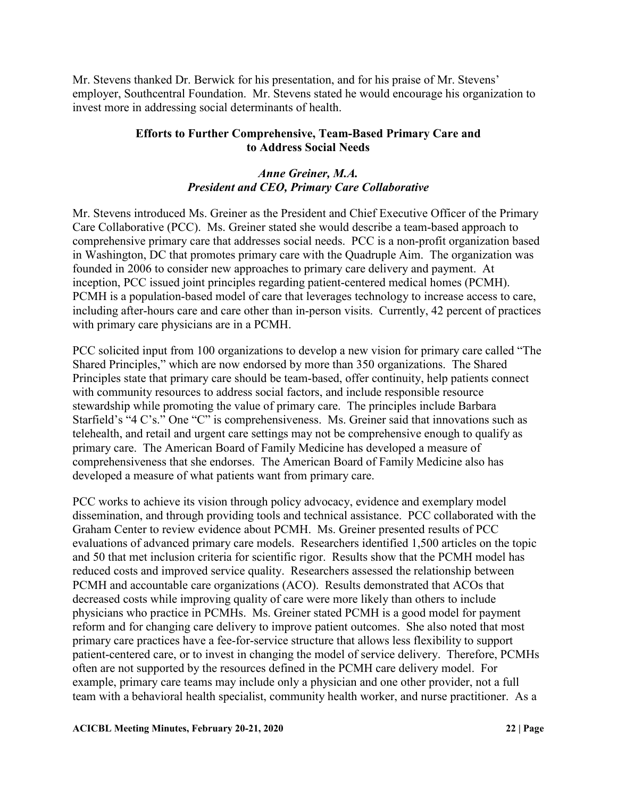Mr. Stevens thanked Dr. Berwick for his presentation, and for his praise of Mr. Stevens' employer, Southcentral Foundation. Mr. Stevens stated he would encourage his organization to invest more in addressing social determinants of health.

## **Efforts to Further Comprehensive, Team-Based Primary Care and to Address Social Needs**

## *Anne Greiner, M.A. President and CEO, Primary Care Collaborative*

Mr. Stevens introduced Ms. Greiner as the President and Chief Executive Officer of the Primary Care Collaborative (PCC). Ms. Greiner stated she would describe a team-based approach to comprehensive primary care that addresses social needs. PCC is a non-profit organization based in Washington, DC that promotes primary care with the Quadruple Aim. The organization was founded in 2006 to consider new approaches to primary care delivery and payment. At inception, PCC issued joint principles regarding patient-centered medical homes (PCMH). PCMH is a population-based model of care that leverages technology to increase access to care, including after-hours care and care other than in-person visits. Currently, 42 percent of practices with primary care physicians are in a PCMH.

PCC solicited input from 100 organizations to develop a new vision for primary care called "The Shared Principles," which are now endorsed by more than 350 organizations. The Shared Principles state that primary care should be team-based, offer continuity, help patients connect with community resources to address social factors, and include responsible resource stewardship while promoting the value of primary care. The principles include Barbara Starfield's "4 C's." One "C" is comprehensiveness. Ms. Greiner said that innovations such as telehealth, and retail and urgent care settings may not be comprehensive enough to qualify as primary care. The American Board of Family Medicine has developed a measure of comprehensiveness that she endorses. The American Board of Family Medicine also has developed a measure of what patients want from primary care.

PCC works to achieve its vision through policy advocacy, evidence and exemplary model dissemination, and through providing tools and technical assistance. PCC collaborated with the Graham Center to review evidence about PCMH. Ms. Greiner presented results of PCC evaluations of advanced primary care models. Researchers identified 1,500 articles on the topic and 50 that met inclusion criteria for scientific rigor. Results show that the PCMH model has reduced costs and improved service quality. Researchers assessed the relationship between PCMH and accountable care organizations (ACO). Results demonstrated that ACOs that decreased costs while improving quality of care were more likely than others to include physicians who practice in PCMHs. Ms. Greiner stated PCMH is a good model for payment reform and for changing care delivery to improve patient outcomes. She also noted that most primary care practices have a fee-for-service structure that allows less flexibility to support patient-centered care, or to invest in changing the model of service delivery. Therefore, PCMHs often are not supported by the resources defined in the PCMH care delivery model. For example, primary care teams may include only a physician and one other provider, not a full team with a behavioral health specialist, community health worker, and nurse practitioner. As a

#### **ACICBL Meeting Minutes, February 20-21, 2020 22 | Page**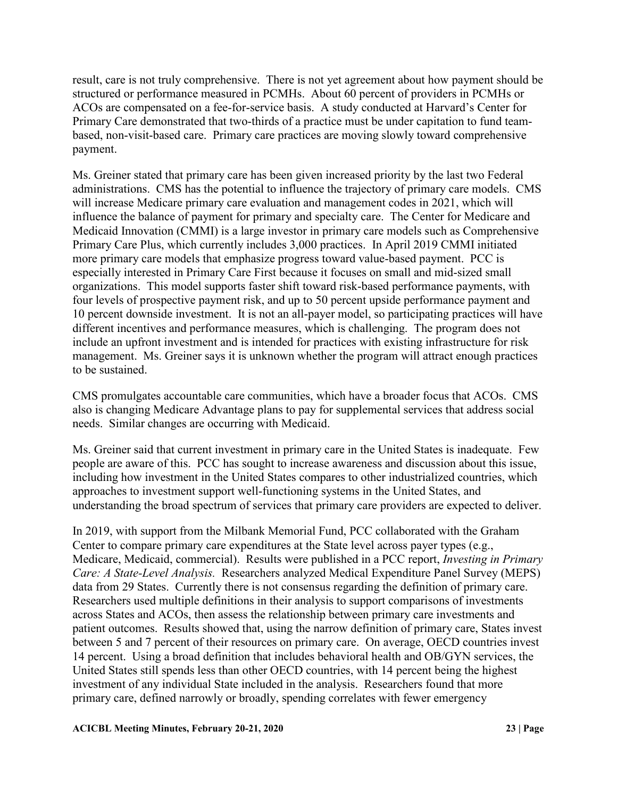result, care is not truly comprehensive. There is not yet agreement about how payment should be structured or performance measured in PCMHs. About 60 percent of providers in PCMHs or ACOs are compensated on a fee-for-service basis. A study conducted at Harvard's Center for Primary Care demonstrated that two-thirds of a practice must be under capitation to fund teambased, non-visit-based care. Primary care practices are moving slowly toward comprehensive payment.

Ms. Greiner stated that primary care has been given increased priority by the last two Federal administrations. CMS has the potential to influence the trajectory of primary care models. CMS will increase Medicare primary care evaluation and management codes in 2021, which will influence the balance of payment for primary and specialty care. The Center for Medicare and Medicaid Innovation (CMMI) is a large investor in primary care models such as Comprehensive Primary Care Plus, which currently includes 3,000 practices. In April 2019 CMMI initiated more primary care models that emphasize progress toward value-based payment. PCC is especially interested in Primary Care First because it focuses on small and mid-sized small organizations. This model supports faster shift toward risk-based performance payments, with four levels of prospective payment risk, and up to 50 percent upside performance payment and 10 percent downside investment. It is not an all-payer model, so participating practices will have different incentives and performance measures, which is challenging. The program does not include an upfront investment and is intended for practices with existing infrastructure for risk management. Ms. Greiner says it is unknown whether the program will attract enough practices to be sustained.

CMS promulgates accountable care communities, which have a broader focus that ACOs. CMS also is changing Medicare Advantage plans to pay for supplemental services that address social needs. Similar changes are occurring with Medicaid.

Ms. Greiner said that current investment in primary care in the United States is inadequate. Few people are aware of this. PCC has sought to increase awareness and discussion about this issue, including how investment in the United States compares to other industrialized countries, which approaches to investment support well-functioning systems in the United States, and understanding the broad spectrum of services that primary care providers are expected to deliver.

In 2019, with support from the Milbank Memorial Fund, PCC collaborated with the Graham Center to compare primary care expenditures at the State level across payer types (e.g., Medicare, Medicaid, commercial). Results were published in a PCC report, *Investing in Primary Care: A State-Level Analysis.* Researchers analyzed Medical Expenditure Panel Survey (MEPS) data from 29 States. Currently there is not consensus regarding the definition of primary care. Researchers used multiple definitions in their analysis to support comparisons of investments across States and ACOs, then assess the relationship between primary care investments and patient outcomes. Results showed that, using the narrow definition of primary care, States invest between 5 and 7 percent of their resources on primary care. On average, OECD countries invest 14 percent. Using a broad definition that includes behavioral health and OB/GYN services, the United States still spends less than other OECD countries, with 14 percent being the highest investment of any individual State included in the analysis. Researchers found that more primary care, defined narrowly or broadly, spending correlates with fewer emergency

### **ACICBL Meeting Minutes, February 20-21, 2020 23 | Page**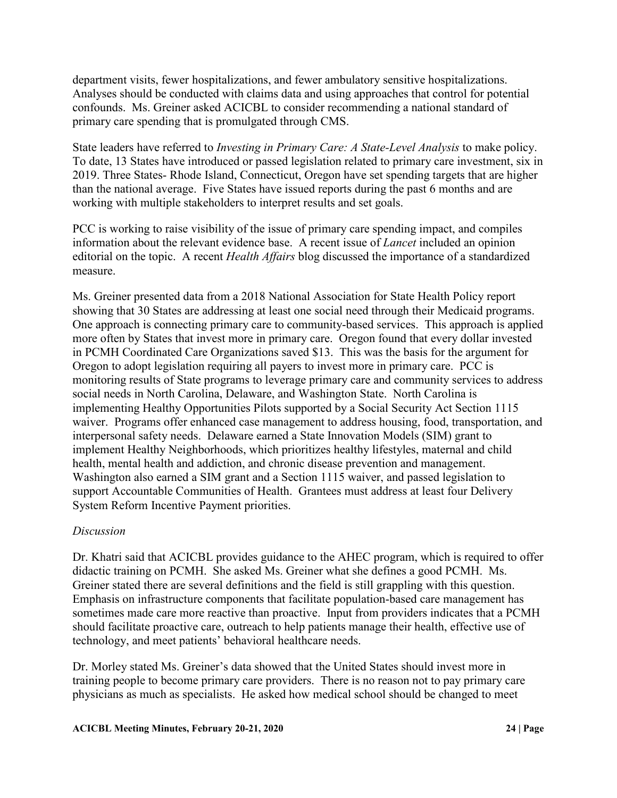department visits, fewer hospitalizations, and fewer ambulatory sensitive hospitalizations. Analyses should be conducted with claims data and using approaches that control for potential confounds. Ms. Greiner asked ACICBL to consider recommending a national standard of primary care spending that is promulgated through CMS.

State leaders have referred to *Investing in Primary Care: A State-Level Analysis* to make policy. To date, 13 States have introduced or passed legislation related to primary care investment, six in 2019. Three States- Rhode Island, Connecticut, Oregon have set spending targets that are higher than the national average. Five States have issued reports during the past 6 months and are working with multiple stakeholders to interpret results and set goals.

PCC is working to raise visibility of the issue of primary care spending impact, and compiles information about the relevant evidence base. A recent issue of *Lancet* included an opinion editorial on the topic. A recent *Health Affairs* blog discussed the importance of a standardized measure.

Ms. Greiner presented data from a 2018 National Association for State Health Policy report showing that 30 States are addressing at least one social need through their Medicaid programs. One approach is connecting primary care to community-based services. This approach is applied more often by States that invest more in primary care. Oregon found that every dollar invested in PCMH Coordinated Care Organizations saved \$13. This was the basis for the argument for Oregon to adopt legislation requiring all payers to invest more in primary care. PCC is monitoring results of State programs to leverage primary care and community services to address social needs in North Carolina, Delaware, and Washington State. North Carolina is implementing Healthy Opportunities Pilots supported by a Social Security Act Section 1115 waiver. Programs offer enhanced case management to address housing, food, transportation, and interpersonal safety needs. Delaware earned a State Innovation Models (SIM) grant to implement Healthy Neighborhoods, which prioritizes healthy lifestyles, maternal and child health, mental health and addiction, and chronic disease prevention and management. Washington also earned a SIM grant and a Section 1115 waiver, and passed legislation to support Accountable Communities of Health. Grantees must address at least four Delivery System Reform Incentive Payment priorities.

### *Discussion*

Dr. Khatri said that ACICBL provides guidance to the AHEC program, which is required to offer didactic training on PCMH. She asked Ms. Greiner what she defines a good PCMH. Ms. Greiner stated there are several definitions and the field is still grappling with this question. Emphasis on infrastructure components that facilitate population-based care management has sometimes made care more reactive than proactive. Input from providers indicates that a PCMH should facilitate proactive care, outreach to help patients manage their health, effective use of technology, and meet patients' behavioral healthcare needs.

Dr. Morley stated Ms. Greiner's data showed that the United States should invest more in training people to become primary care providers. There is no reason not to pay primary care physicians as much as specialists. He asked how medical school should be changed to meet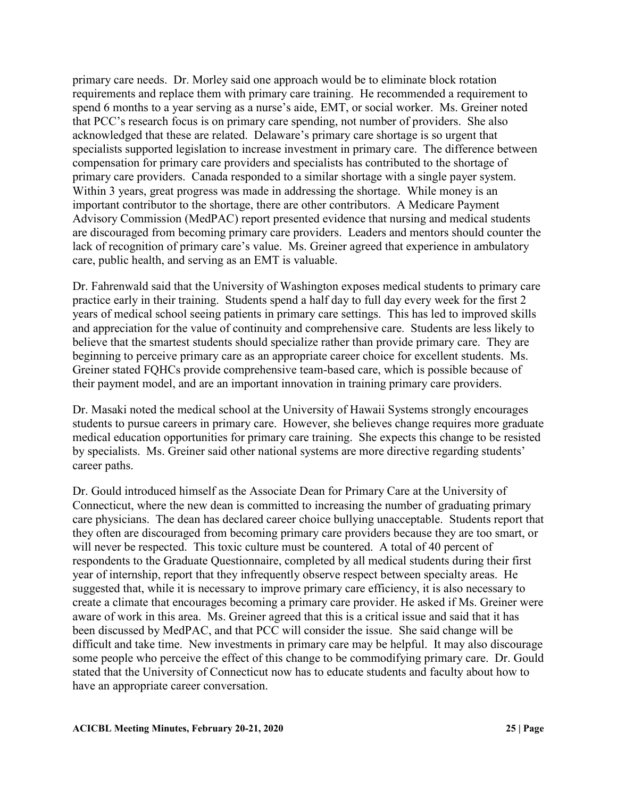primary care needs. Dr. Morley said one approach would be to eliminate block rotation requirements and replace them with primary care training. He recommended a requirement to spend 6 months to a year serving as a nurse's aide, EMT, or social worker. Ms. Greiner noted that PCC's research focus is on primary care spending, not number of providers. She also acknowledged that these are related. Delaware's primary care shortage is so urgent that specialists supported legislation to increase investment in primary care. The difference between compensation for primary care providers and specialists has contributed to the shortage of primary care providers. Canada responded to a similar shortage with a single payer system. Within 3 years, great progress was made in addressing the shortage. While money is an important contributor to the shortage, there are other contributors. A Medicare Payment Advisory Commission (MedPAC) report presented evidence that nursing and medical students are discouraged from becoming primary care providers. Leaders and mentors should counter the lack of recognition of primary care's value. Ms. Greiner agreed that experience in ambulatory care, public health, and serving as an EMT is valuable.

Dr. Fahrenwald said that the University of Washington exposes medical students to primary care practice early in their training. Students spend a half day to full day every week for the first 2 years of medical school seeing patients in primary care settings. This has led to improved skills and appreciation for the value of continuity and comprehensive care. Students are less likely to believe that the smartest students should specialize rather than provide primary care. They are beginning to perceive primary care as an appropriate career choice for excellent students. Ms. Greiner stated FQHCs provide comprehensive team-based care, which is possible because of their payment model, and are an important innovation in training primary care providers.

Dr. Masaki noted the medical school at the University of Hawaii Systems strongly encourages students to pursue careers in primary care. However, she believes change requires more graduate medical education opportunities for primary care training. She expects this change to be resisted by specialists. Ms. Greiner said other national systems are more directive regarding students' career paths.

Dr. Gould introduced himself as the Associate Dean for Primary Care at the University of Connecticut, where the new dean is committed to increasing the number of graduating primary care physicians. The dean has declared career choice bullying unacceptable. Students report that they often are discouraged from becoming primary care providers because they are too smart, or will never be respected. This toxic culture must be countered. A total of 40 percent of respondents to the Graduate Questionnaire, completed by all medical students during their first year of internship, report that they infrequently observe respect between specialty areas. He suggested that, while it is necessary to improve primary care efficiency, it is also necessary to create a climate that encourages becoming a primary care provider. He asked if Ms. Greiner were aware of work in this area. Ms. Greiner agreed that this is a critical issue and said that it has been discussed by MedPAC, and that PCC will consider the issue. She said change will be difficult and take time. New investments in primary care may be helpful. It may also discourage some people who perceive the effect of this change to be commodifying primary care. Dr. Gould stated that the University of Connecticut now has to educate students and faculty about how to have an appropriate career conversation.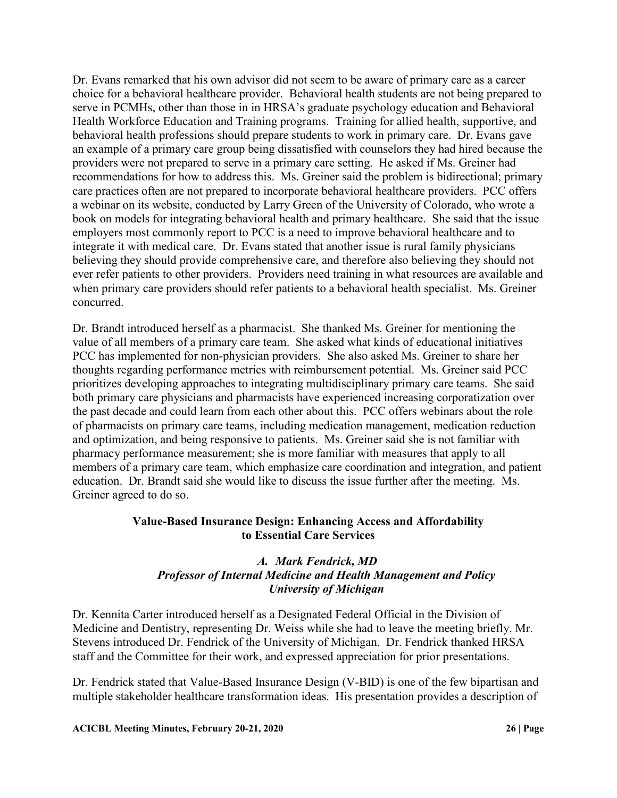Dr. Evans remarked that his own advisor did not seem to be aware of primary care as a career choice for a behavioral healthcare provider. Behavioral health students are not being prepared to serve in PCMHs, other than those in in HRSA's graduate psychology education and Behavioral Health Workforce Education and Training programs. Training for allied health, supportive, and behavioral health professions should prepare students to work in primary care. Dr. Evans gave an example of a primary care group being dissatisfied with counselors they had hired because the providers were not prepared to serve in a primary care setting. He asked if Ms. Greiner had recommendations for how to address this. Ms. Greiner said the problem is bidirectional; primary care practices often are not prepared to incorporate behavioral healthcare providers. PCC offers a webinar on its website, conducted by Larry Green of the University of Colorado, who wrote a book on models for integrating behavioral health and primary healthcare. She said that the issue employers most commonly report to PCC is a need to improve behavioral healthcare and to integrate it with medical care. Dr. Evans stated that another issue is rural family physicians believing they should provide comprehensive care, and therefore also believing they should not ever refer patients to other providers. Providers need training in what resources are available and when primary care providers should refer patients to a behavioral health specialist. Ms. Greiner concurred.

Dr. Brandt introduced herself as a pharmacist. She thanked Ms. Greiner for mentioning the value of all members of a primary care team. She asked what kinds of educational initiatives PCC has implemented for non-physician providers. She also asked Ms. Greiner to share her thoughts regarding performance metrics with reimbursement potential. Ms. Greiner said PCC prioritizes developing approaches to integrating multidisciplinary primary care teams. She said both primary care physicians and pharmacists have experienced increasing corporatization over the past decade and could learn from each other about this. PCC offers webinars about the role of pharmacists on primary care teams, including medication management, medication reduction and optimization, and being responsive to patients. Ms. Greiner said she is not familiar with pharmacy performance measurement; she is more familiar with measures that apply to all members of a primary care team, which emphasize care coordination and integration, and patient education. Dr. Brandt said she would like to discuss the issue further after the meeting. Ms. Greiner agreed to do so.

# **Value-Based Insurance Design: Enhancing Access and Affordability to Essential Care Services**

## *A. Mark Fendrick, MD Professor of Internal Medicine and Health Management and Policy University of Michigan*

Dr. Kennita Carter introduced herself as a Designated Federal Official in the Division of Medicine and Dentistry, representing Dr. Weiss while she had to leave the meeting briefly. Mr. Stevens introduced Dr. Fendrick of the University of Michigan. Dr. Fendrick thanked HRSA staff and the Committee for their work, and expressed appreciation for prior presentations.

Dr. Fendrick stated that Value-Based Insurance Design (V-BID) is one of the few bipartisan and multiple stakeholder healthcare transformation ideas. His presentation provides a description of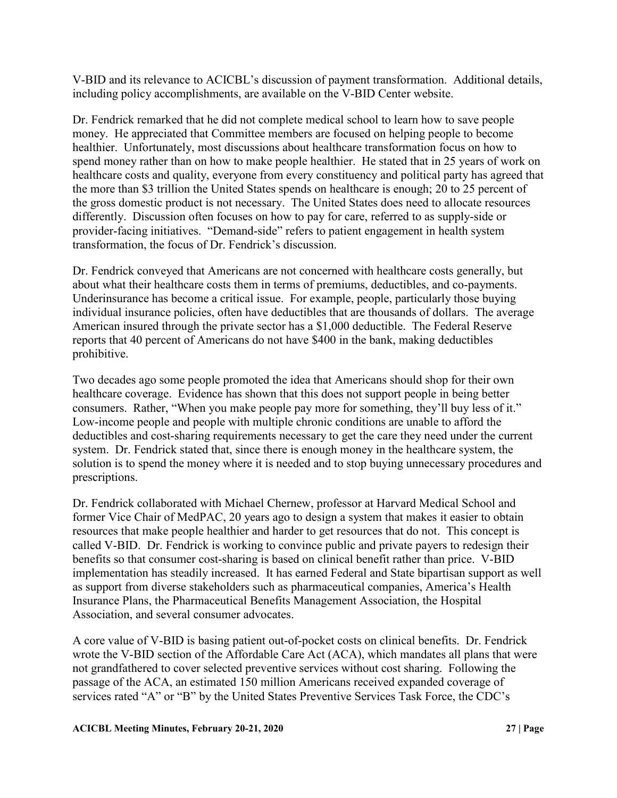V-BID and its relevance to ACICBL's discussion of payment transformation. Additional details, including policy accomplishments, are available on the V-BID Center website.

Dr. Fendrick remarked that he did not complete medical school to learn how to save people money. He appreciated that Committee members are focused on helping people to become healthier. Unfortunately, most discussions about healthcare transformation focus on how to spend money rather than on how to make people healthier. He stated that in 25 years of work on healthcare costs and quality, everyone from every constituency and political party has agreed that the more than \$3 trillion the United States spends on healthcare is enough; 20 to 25 percent of the gross domestic product is not necessary. The United States does need to allocate resources differently. Discussion often focuses on how to pay for care, referred to as supply-side or provider-facing initiatives. "Demand-side" refers to patient engagement in health system transformation, the focus of Dr. Fendrick's discussion.

Dr. Fendrick conveyed that Americans are not concerned with healthcare costs generally, but about what their healthcare costs them in terms of premiums, deductibles, and co-payments. Underinsurance has become a critical issue. For example, people, particularly those buying individual insurance policies, often have deductibles that are thousands of dollars. The average American insured through the private sector has a \$1,000 deductible. The Federal Reserve reports that 40 percent of Americans do not have \$400 in the bank, making deductibles prohibitive.

Two decades ago some people promoted the idea that Americans should shop for their own healthcare coverage. Evidence has shown that this does not support people in being better consumers. Rather, "When you make people pay more for something, they'll buy less of it." Low-income people and people with multiple chronic conditions are unable to afford the deductibles and cost-sharing requirements necessary to get the care they need under the current system. Dr. Fendrick stated that, since there is enough money in the healthcare system, the solution is to spend the money where it is needed and to stop buying unnecessary procedures and prescriptions.

Dr. Fendrick collaborated with Michael Chernew, professor at Harvard Medical School and former Vice Chair of MedPAC, 20 years ago to design a system that makes it easier to obtain resources that make people healthier and harder to get resources that do not. This concept is called V-BID. Dr. Fendrick is working to convince public and private payers to redesign their benefits so that consumer cost-sharing is based on clinical benefit rather than price. V-BID implementation has steadily increased. It has earned Federal and State bipartisan support as well as support from diverse stakeholders such as pharmaceutical companies, America's Health Insurance Plans, the Pharmaceutical Benefits Management Association, the Hospital Association, and several consumer advocates.

A core value of V-BID is basing patient out-of-pocket costs on clinical benefits. Dr. Fendrick wrote the V-BID section of the Affordable Care Act (ACA), which mandates all plans that were not grandfathered to cover selected preventive services without cost sharing. Following the passage of the ACA, an estimated 150 million Americans received expanded coverage of services rated "A" or "B" by the United States Preventive Services Task Force, the CDC's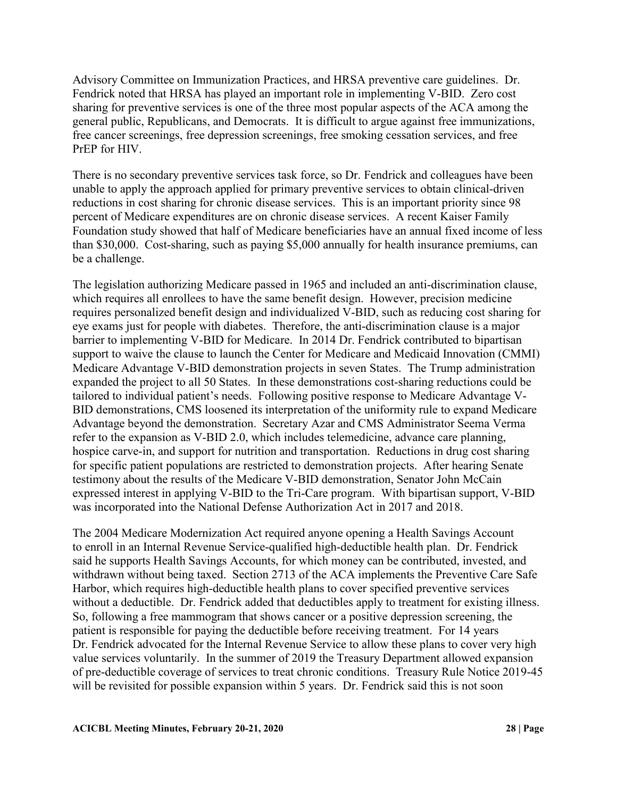Advisory Committee on Immunization Practices, and HRSA preventive care guidelines. Dr. Fendrick noted that HRSA has played an important role in implementing V-BID. Zero cost sharing for preventive services is one of the three most popular aspects of the ACA among the general public, Republicans, and Democrats. It is difficult to argue against free immunizations, free cancer screenings, free depression screenings, free smoking cessation services, and free PrEP for HIV.

There is no secondary preventive services task force, so Dr. Fendrick and colleagues have been unable to apply the approach applied for primary preventive services to obtain clinical-driven reductions in cost sharing for chronic disease services. This is an important priority since 98 percent of Medicare expenditures are on chronic disease services. A recent Kaiser Family Foundation study showed that half of Medicare beneficiaries have an annual fixed income of less than \$30,000. Cost-sharing, such as paying \$5,000 annually for health insurance premiums, can be a challenge.

The legislation authorizing Medicare passed in 1965 and included an anti-discrimination clause, which requires all enrollees to have the same benefit design. However, precision medicine requires personalized benefit design and individualized V-BID, such as reducing cost sharing for eye exams just for people with diabetes. Therefore, the anti-discrimination clause is a major barrier to implementing V-BID for Medicare. In 2014 Dr. Fendrick contributed to bipartisan support to waive the clause to launch the Center for Medicare and Medicaid Innovation (CMMI) Medicare Advantage V-BID demonstration projects in seven States. The Trump administration expanded the project to all 50 States. In these demonstrations cost-sharing reductions could be tailored to individual patient's needs. Following positive response to Medicare Advantage V-BID demonstrations, CMS loosened its interpretation of the uniformity rule to expand Medicare Advantage beyond the demonstration. Secretary Azar and CMS Administrator Seema Verma refer to the expansion as V-BID 2.0, which includes telemedicine, advance care planning, hospice carve-in, and support for nutrition and transportation. Reductions in drug cost sharing for specific patient populations are restricted to demonstration projects. After hearing Senate testimony about the results of the Medicare V-BID demonstration, Senator John McCain expressed interest in applying V-BID to the Tri-Care program. With bipartisan support, V-BID was incorporated into the National Defense Authorization Act in 2017 and 2018.

The 2004 Medicare Modernization Act required anyone opening a Health Savings Account to enroll in an Internal Revenue Service-qualified high-deductible health plan. Dr. Fendrick said he supports Health Savings Accounts, for which money can be contributed, invested, and withdrawn without being taxed. Section 2713 of the ACA implements the Preventive Care Safe Harbor, which requires high-deductible health plans to cover specified preventive services without a deductible. Dr. Fendrick added that deductibles apply to treatment for existing illness. So, following a free mammogram that shows cancer or a positive depression screening, the patient is responsible for paying the deductible before receiving treatment. For 14 years Dr. Fendrick advocated for the Internal Revenue Service to allow these plans to cover very high value services voluntarily. In the summer of 2019 the Treasury Department allowed expansion of pre-deductible coverage of services to treat chronic conditions. Treasury Rule Notice 2019-45 will be revisited for possible expansion within 5 years. Dr. Fendrick said this is not soon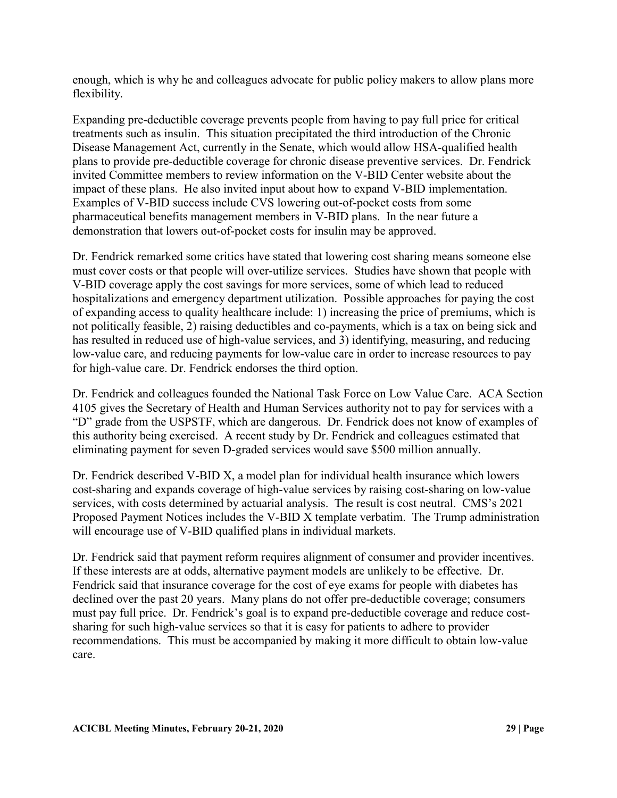enough, which is why he and colleagues advocate for public policy makers to allow plans more flexibility.

Expanding pre-deductible coverage prevents people from having to pay full price for critical treatments such as insulin. This situation precipitated the third introduction of the Chronic Disease Management Act, currently in the Senate, which would allow HSA-qualified health plans to provide pre-deductible coverage for chronic disease preventive services. Dr. Fendrick invited Committee members to review information on the V-BID Center website about the impact of these plans. He also invited input about how to expand V-BID implementation. Examples of V-BID success include CVS lowering out-of-pocket costs from some pharmaceutical benefits management members in V-BID plans. In the near future a demonstration that lowers out-of-pocket costs for insulin may be approved.

Dr. Fendrick remarked some critics have stated that lowering cost sharing means someone else must cover costs or that people will over-utilize services. Studies have shown that people with V-BID coverage apply the cost savings for more services, some of which lead to reduced hospitalizations and emergency department utilization. Possible approaches for paying the cost of expanding access to quality healthcare include: 1) increasing the price of premiums, which is not politically feasible, 2) raising deductibles and co-payments, which is a tax on being sick and has resulted in reduced use of high-value services, and 3) identifying, measuring, and reducing low-value care, and reducing payments for low-value care in order to increase resources to pay for high-value care. Dr. Fendrick endorses the third option.

Dr. Fendrick and colleagues founded the National Task Force on Low Value Care. ACA Section 4105 gives the Secretary of Health and Human Services authority not to pay for services with a "D" grade from the USPSTF, which are dangerous. Dr. Fendrick does not know of examples of this authority being exercised. A recent study by Dr. Fendrick and colleagues estimated that eliminating payment for seven D-graded services would save \$500 million annually.

Dr. Fendrick described V-BID X, a model plan for individual health insurance which lowers cost-sharing and expands coverage of high-value services by raising cost-sharing on low-value services, with costs determined by actuarial analysis. The result is cost neutral. CMS's 2021 Proposed Payment Notices includes the V-BID X template verbatim. The Trump administration will encourage use of V-BID qualified plans in individual markets.

Dr. Fendrick said that payment reform requires alignment of consumer and provider incentives. If these interests are at odds, alternative payment models are unlikely to be effective. Dr. Fendrick said that insurance coverage for the cost of eye exams for people with diabetes has declined over the past 20 years. Many plans do not offer pre-deductible coverage; consumers must pay full price. Dr. Fendrick's goal is to expand pre-deductible coverage and reduce costsharing for such high-value services so that it is easy for patients to adhere to provider recommendations. This must be accompanied by making it more difficult to obtain low-value care.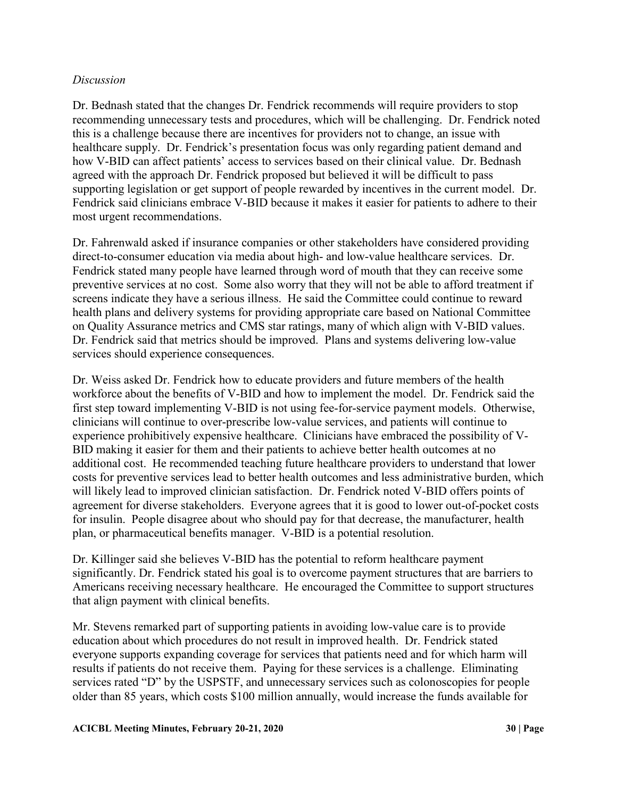# *Discussion*

Dr. Bednash stated that the changes Dr. Fendrick recommends will require providers to stop recommending unnecessary tests and procedures, which will be challenging. Dr. Fendrick noted this is a challenge because there are incentives for providers not to change, an issue with healthcare supply. Dr. Fendrick's presentation focus was only regarding patient demand and how V-BID can affect patients' access to services based on their clinical value. Dr. Bednash agreed with the approach Dr. Fendrick proposed but believed it will be difficult to pass supporting legislation or get support of people rewarded by incentives in the current model. Dr. Fendrick said clinicians embrace V-BID because it makes it easier for patients to adhere to their most urgent recommendations.

Dr. Fahrenwald asked if insurance companies or other stakeholders have considered providing direct-to-consumer education via media about high- and low-value healthcare services. Dr. Fendrick stated many people have learned through word of mouth that they can receive some preventive services at no cost. Some also worry that they will not be able to afford treatment if screens indicate they have a serious illness. He said the Committee could continue to reward health plans and delivery systems for providing appropriate care based on National Committee on Quality Assurance metrics and CMS star ratings, many of which align with V-BID values. Dr. Fendrick said that metrics should be improved. Plans and systems delivering low-value services should experience consequences.

Dr. Weiss asked Dr. Fendrick how to educate providers and future members of the health workforce about the benefits of V-BID and how to implement the model. Dr. Fendrick said the first step toward implementing V-BID is not using fee-for-service payment models. Otherwise, clinicians will continue to over-prescribe low-value services, and patients will continue to experience prohibitively expensive healthcare. Clinicians have embraced the possibility of V-BID making it easier for them and their patients to achieve better health outcomes at no additional cost. He recommended teaching future healthcare providers to understand that lower costs for preventive services lead to better health outcomes and less administrative burden, which will likely lead to improved clinician satisfaction. Dr. Fendrick noted V-BID offers points of agreement for diverse stakeholders. Everyone agrees that it is good to lower out-of-pocket costs for insulin. People disagree about who should pay for that decrease, the manufacturer, health plan, or pharmaceutical benefits manager. V-BID is a potential resolution.

Dr. Killinger said she believes V-BID has the potential to reform healthcare payment significantly. Dr. Fendrick stated his goal is to overcome payment structures that are barriers to Americans receiving necessary healthcare. He encouraged the Committee to support structures that align payment with clinical benefits.

Mr. Stevens remarked part of supporting patients in avoiding low-value care is to provide education about which procedures do not result in improved health. Dr. Fendrick stated everyone supports expanding coverage for services that patients need and for which harm will results if patients do not receive them. Paying for these services is a challenge. Eliminating services rated "D" by the USPSTF, and unnecessary services such as colonoscopies for people older than 85 years, which costs \$100 million annually, would increase the funds available for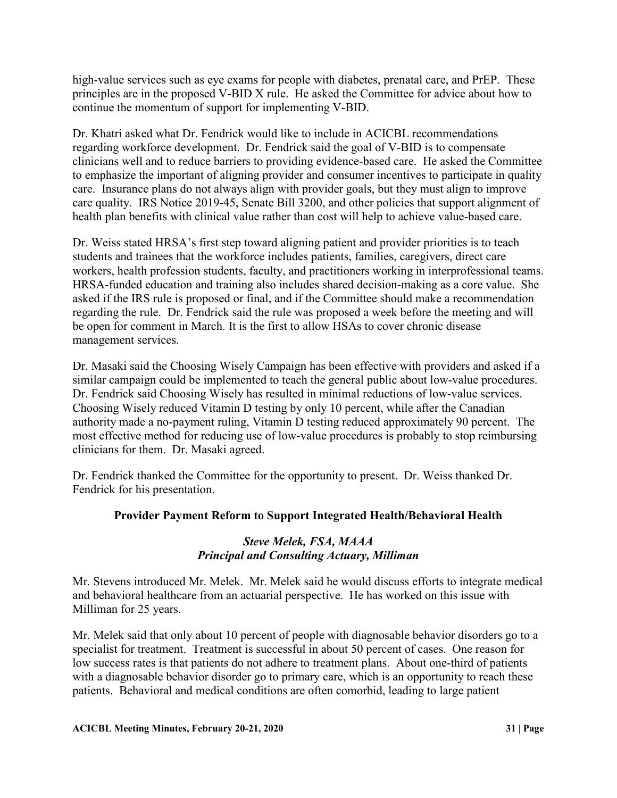high-value services such as eye exams for people with diabetes, prenatal care, and PrEP. These principles are in the proposed V-BID X rule. He asked the Committee for advice about how to continue the momentum of support for implementing V-BID.

Dr. Khatri asked what Dr. Fendrick would like to include in ACICBL recommendations regarding workforce development. Dr. Fendrick said the goal of V-BID is to compensate clinicians well and to reduce barriers to providing evidence-based care. He asked the Committee to emphasize the important of aligning provider and consumer incentives to participate in quality care. Insurance plans do not always align with provider goals, but they must align to improve care quality. IRS Notice 2019-45, Senate Bill 3200, and other policies that support alignment of health plan benefits with clinical value rather than cost will help to achieve value-based care.

Dr. Weiss stated HRSA's first step toward aligning patient and provider priorities is to teach students and trainees that the workforce includes patients, families, caregivers, direct care workers, health profession students, faculty, and practitioners working in interprofessional teams. HRSA-funded education and training also includes shared decision-making as a core value. She asked if the IRS rule is proposed or final, and if the Committee should make a recommendation regarding the rule. Dr. Fendrick said the rule was proposed a week before the meeting and will be open for comment in March. It is the first to allow HSAs to cover chronic disease management services.

Dr. Masaki said the Choosing Wisely Campaign has been effective with providers and asked if a similar campaign could be implemented to teach the general public about low-value procedures. Dr. Fendrick said Choosing Wisely has resulted in minimal reductions of low-value services. Choosing Wisely reduced Vitamin D testing by only 10 percent, while after the Canadian authority made a no-payment ruling, Vitamin D testing reduced approximately 90 percent. The most effective method for reducing use of low-value procedures is probably to stop reimbursing clinicians for them. Dr. Masaki agreed.

Dr. Fendrick thanked the Committee for the opportunity to present. Dr. Weiss thanked Dr. Fendrick for his presentation.

# **Provider Payment Reform to Support Integrated Health/Behavioral Health**

# *Steve Melek, FSA, MAAA Principal and Consulting Actuary, Milliman*

Mr. Stevens introduced Mr. Melek. Mr. Melek said he would discuss efforts to integrate medical and behavioral healthcare from an actuarial perspective. He has worked on this issue with Milliman for 25 years.

Mr. Melek said that only about 10 percent of people with diagnosable behavior disorders go to a specialist for treatment. Treatment is successful in about 50 percent of cases. One reason for low success rates is that patients do not adhere to treatment plans. About one-third of patients with a diagnosable behavior disorder go to primary care, which is an opportunity to reach these patients. Behavioral and medical conditions are often comorbid, leading to large patient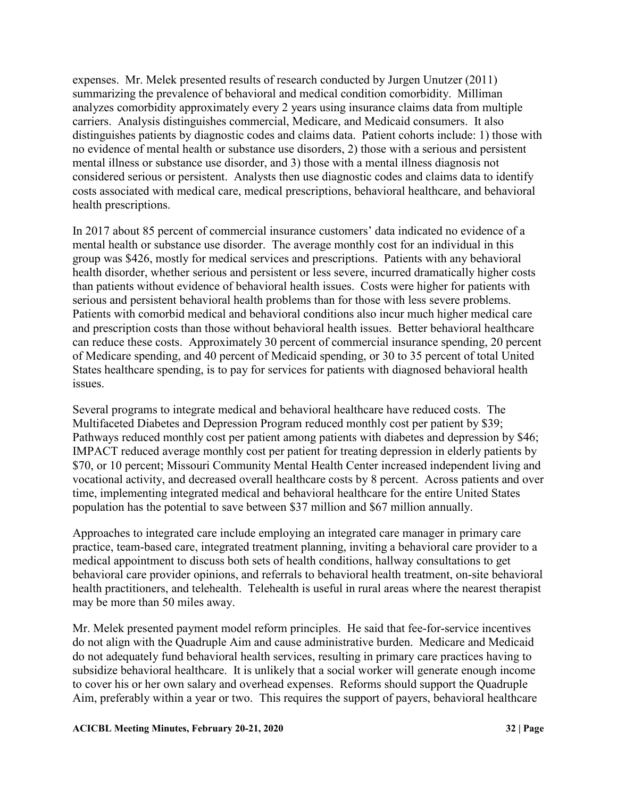expenses. Mr. Melek presented results of research conducted by Jurgen Unutzer (2011) summarizing the prevalence of behavioral and medical condition comorbidity. Milliman analyzes comorbidity approximately every 2 years using insurance claims data from multiple carriers. Analysis distinguishes commercial, Medicare, and Medicaid consumers. It also distinguishes patients by diagnostic codes and claims data. Patient cohorts include: 1) those with no evidence of mental health or substance use disorders, 2) those with a serious and persistent mental illness or substance use disorder, and 3) those with a mental illness diagnosis not considered serious or persistent. Analysts then use diagnostic codes and claims data to identify costs associated with medical care, medical prescriptions, behavioral healthcare, and behavioral health prescriptions.

In 2017 about 85 percent of commercial insurance customers' data indicated no evidence of a mental health or substance use disorder. The average monthly cost for an individual in this group was \$426, mostly for medical services and prescriptions. Patients with any behavioral health disorder, whether serious and persistent or less severe, incurred dramatically higher costs than patients without evidence of behavioral health issues. Costs were higher for patients with serious and persistent behavioral health problems than for those with less severe problems. Patients with comorbid medical and behavioral conditions also incur much higher medical care and prescription costs than those without behavioral health issues. Better behavioral healthcare can reduce these costs. Approximately 30 percent of commercial insurance spending, 20 percent of Medicare spending, and 40 percent of Medicaid spending, or 30 to 35 percent of total United States healthcare spending, is to pay for services for patients with diagnosed behavioral health issues.

Several programs to integrate medical and behavioral healthcare have reduced costs. The Multifaceted Diabetes and Depression Program reduced monthly cost per patient by \$39; Pathways reduced monthly cost per patient among patients with diabetes and depression by \$46; IMPACT reduced average monthly cost per patient for treating depression in elderly patients by \$70, or 10 percent; Missouri Community Mental Health Center increased independent living and vocational activity, and decreased overall healthcare costs by 8 percent. Across patients and over time, implementing integrated medical and behavioral healthcare for the entire United States population has the potential to save between \$37 million and \$67 million annually.

Approaches to integrated care include employing an integrated care manager in primary care practice, team-based care, integrated treatment planning, inviting a behavioral care provider to a medical appointment to discuss both sets of health conditions, hallway consultations to get behavioral care provider opinions, and referrals to behavioral health treatment, on-site behavioral health practitioners, and telehealth. Telehealth is useful in rural areas where the nearest therapist may be more than 50 miles away.

Mr. Melek presented payment model reform principles. He said that fee-for-service incentives do not align with the Quadruple Aim and cause administrative burden. Medicare and Medicaid do not adequately fund behavioral health services, resulting in primary care practices having to subsidize behavioral healthcare. It is unlikely that a social worker will generate enough income to cover his or her own salary and overhead expenses. Reforms should support the Quadruple Aim, preferably within a year or two. This requires the support of payers, behavioral healthcare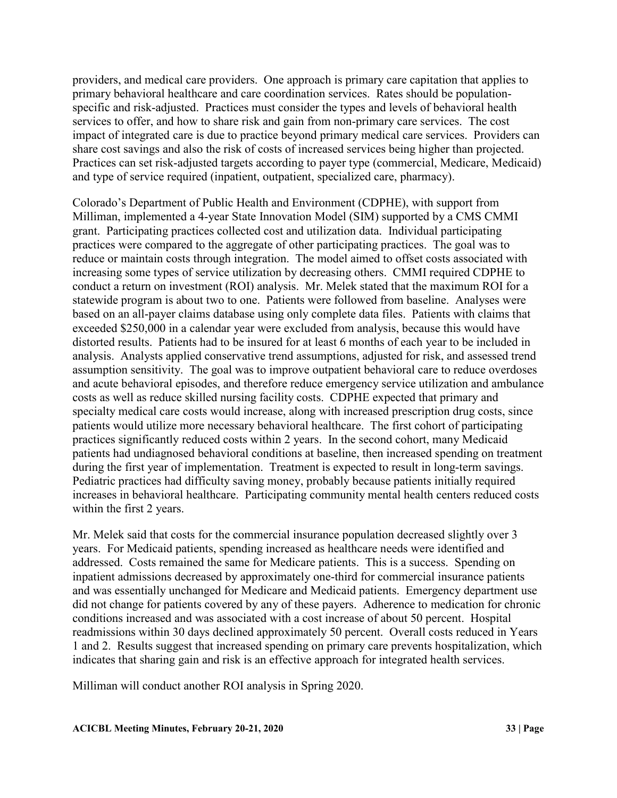providers, and medical care providers. One approach is primary care capitation that applies to primary behavioral healthcare and care coordination services. Rates should be populationspecific and risk-adjusted. Practices must consider the types and levels of behavioral health services to offer, and how to share risk and gain from non-primary care services. The cost impact of integrated care is due to practice beyond primary medical care services. Providers can share cost savings and also the risk of costs of increased services being higher than projected. Practices can set risk-adjusted targets according to payer type (commercial, Medicare, Medicaid) and type of service required (inpatient, outpatient, specialized care, pharmacy).

Colorado's Department of Public Health and Environment (CDPHE), with support from Milliman, implemented a 4-year State Innovation Model (SIM) supported by a CMS CMMI grant. Participating practices collected cost and utilization data. Individual participating practices were compared to the aggregate of other participating practices. The goal was to reduce or maintain costs through integration. The model aimed to offset costs associated with increasing some types of service utilization by decreasing others. CMMI required CDPHE to conduct a return on investment (ROI) analysis. Mr. Melek stated that the maximum ROI for a statewide program is about two to one. Patients were followed from baseline. Analyses were based on an all-payer claims database using only complete data files. Patients with claims that exceeded \$250,000 in a calendar year were excluded from analysis, because this would have distorted results. Patients had to be insured for at least 6 months of each year to be included in analysis. Analysts applied conservative trend assumptions, adjusted for risk, and assessed trend assumption sensitivity. The goal was to improve outpatient behavioral care to reduce overdoses and acute behavioral episodes, and therefore reduce emergency service utilization and ambulance costs as well as reduce skilled nursing facility costs. CDPHE expected that primary and specialty medical care costs would increase, along with increased prescription drug costs, since patients would utilize more necessary behavioral healthcare. The first cohort of participating practices significantly reduced costs within 2 years. In the second cohort, many Medicaid patients had undiagnosed behavioral conditions at baseline, then increased spending on treatment during the first year of implementation. Treatment is expected to result in long-term savings. Pediatric practices had difficulty saving money, probably because patients initially required increases in behavioral healthcare. Participating community mental health centers reduced costs within the first 2 years.

Mr. Melek said that costs for the commercial insurance population decreased slightly over 3 years. For Medicaid patients, spending increased as healthcare needs were identified and addressed. Costs remained the same for Medicare patients. This is a success. Spending on inpatient admissions decreased by approximately one-third for commercial insurance patients and was essentially unchanged for Medicare and Medicaid patients. Emergency department use did not change for patients covered by any of these payers. Adherence to medication for chronic conditions increased and was associated with a cost increase of about 50 percent. Hospital readmissions within 30 days declined approximately 50 percent. Overall costs reduced in Years 1 and 2. Results suggest that increased spending on primary care prevents hospitalization, which indicates that sharing gain and risk is an effective approach for integrated health services.

Milliman will conduct another ROI analysis in Spring 2020.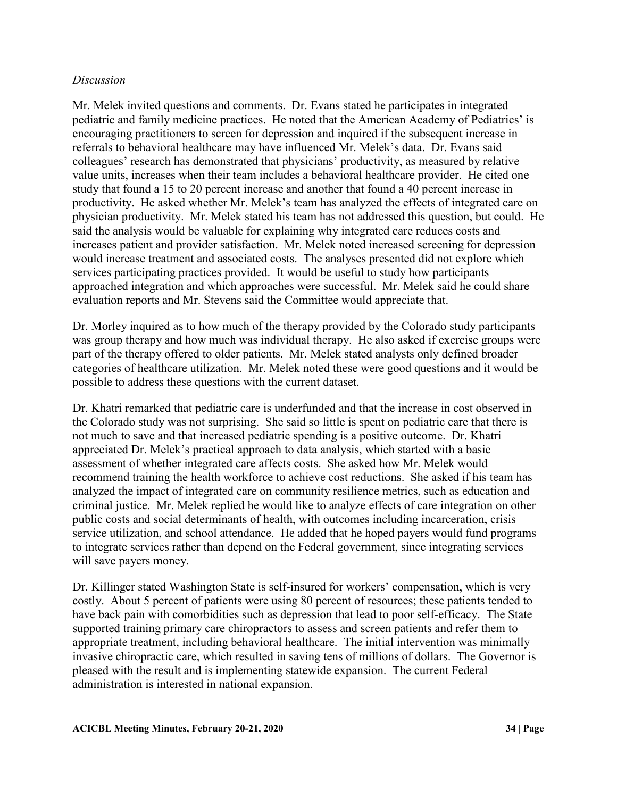### *Discussion*

Mr. Melek invited questions and comments. Dr. Evans stated he participates in integrated pediatric and family medicine practices. He noted that the American Academy of Pediatrics' is encouraging practitioners to screen for depression and inquired if the subsequent increase in referrals to behavioral healthcare may have influenced Mr. Melek's data. Dr. Evans said colleagues' research has demonstrated that physicians' productivity, as measured by relative value units, increases when their team includes a behavioral healthcare provider. He cited one study that found a 15 to 20 percent increase and another that found a 40 percent increase in productivity. He asked whether Mr. Melek's team has analyzed the effects of integrated care on physician productivity. Mr. Melek stated his team has not addressed this question, but could. He said the analysis would be valuable for explaining why integrated care reduces costs and increases patient and provider satisfaction. Mr. Melek noted increased screening for depression would increase treatment and associated costs. The analyses presented did not explore which services participating practices provided. It would be useful to study how participants approached integration and which approaches were successful. Mr. Melek said he could share evaluation reports and Mr. Stevens said the Committee would appreciate that.

Dr. Morley inquired as to how much of the therapy provided by the Colorado study participants was group therapy and how much was individual therapy. He also asked if exercise groups were part of the therapy offered to older patients. Mr. Melek stated analysts only defined broader categories of healthcare utilization. Mr. Melek noted these were good questions and it would be possible to address these questions with the current dataset.

Dr. Khatri remarked that pediatric care is underfunded and that the increase in cost observed in the Colorado study was not surprising. She said so little is spent on pediatric care that there is not much to save and that increased pediatric spending is a positive outcome. Dr. Khatri appreciated Dr. Melek's practical approach to data analysis, which started with a basic assessment of whether integrated care affects costs. She asked how Mr. Melek would recommend training the health workforce to achieve cost reductions. She asked if his team has analyzed the impact of integrated care on community resilience metrics, such as education and criminal justice. Mr. Melek replied he would like to analyze effects of care integration on other public costs and social determinants of health, with outcomes including incarceration, crisis service utilization, and school attendance. He added that he hoped payers would fund programs to integrate services rather than depend on the Federal government, since integrating services will save payers money.

Dr. Killinger stated Washington State is self-insured for workers' compensation, which is very costly. About 5 percent of patients were using 80 percent of resources; these patients tended to have back pain with comorbidities such as depression that lead to poor self-efficacy. The State supported training primary care chiropractors to assess and screen patients and refer them to appropriate treatment, including behavioral healthcare. The initial intervention was minimally invasive chiropractic care, which resulted in saving tens of millions of dollars. The Governor is pleased with the result and is implementing statewide expansion. The current Federal administration is interested in national expansion.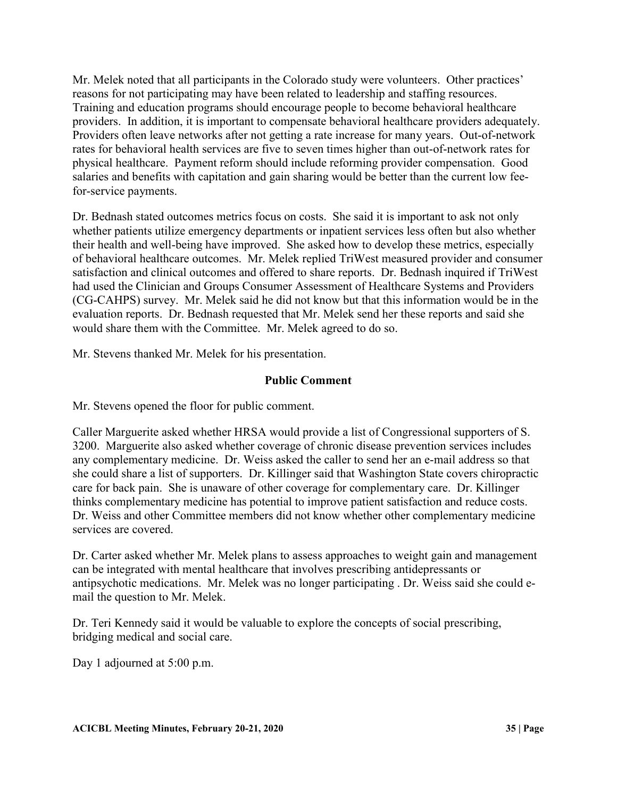Mr. Melek noted that all participants in the Colorado study were volunteers. Other practices' reasons for not participating may have been related to leadership and staffing resources. Training and education programs should encourage people to become behavioral healthcare providers. In addition, it is important to compensate behavioral healthcare providers adequately. Providers often leave networks after not getting a rate increase for many years. Out-of-network rates for behavioral health services are five to seven times higher than out-of-network rates for physical healthcare. Payment reform should include reforming provider compensation. Good salaries and benefits with capitation and gain sharing would be better than the current low feefor-service payments.

Dr. Bednash stated outcomes metrics focus on costs. She said it is important to ask not only whether patients utilize emergency departments or inpatient services less often but also whether their health and well-being have improved. She asked how to develop these metrics, especially of behavioral healthcare outcomes. Mr. Melek replied TriWest measured provider and consumer satisfaction and clinical outcomes and offered to share reports. Dr. Bednash inquired if TriWest had used the Clinician and Groups Consumer Assessment of Healthcare Systems and Providers (CG-CAHPS) survey. Mr. Melek said he did not know but that this information would be in the evaluation reports. Dr. Bednash requested that Mr. Melek send her these reports and said she would share them with the Committee. Mr. Melek agreed to do so.

Mr. Stevens thanked Mr. Melek for his presentation.

# **Public Comment**

Mr. Stevens opened the floor for public comment.

Caller Marguerite asked whether HRSA would provide a list of Congressional supporters of S. 3200. Marguerite also asked whether coverage of chronic disease prevention services includes any complementary medicine. Dr. Weiss asked the caller to send her an e-mail address so that she could share a list of supporters. Dr. Killinger said that Washington State covers chiropractic care for back pain. She is unaware of other coverage for complementary care. Dr. Killinger thinks complementary medicine has potential to improve patient satisfaction and reduce costs. Dr. Weiss and other Committee members did not know whether other complementary medicine services are covered.

Dr. Carter asked whether Mr. Melek plans to assess approaches to weight gain and management can be integrated with mental healthcare that involves prescribing antidepressants or antipsychotic medications. Mr. Melek was no longer participating . Dr. Weiss said she could email the question to Mr. Melek.

Dr. Teri Kennedy said it would be valuable to explore the concepts of social prescribing, bridging medical and social care.

Day 1 adjourned at 5:00 p.m.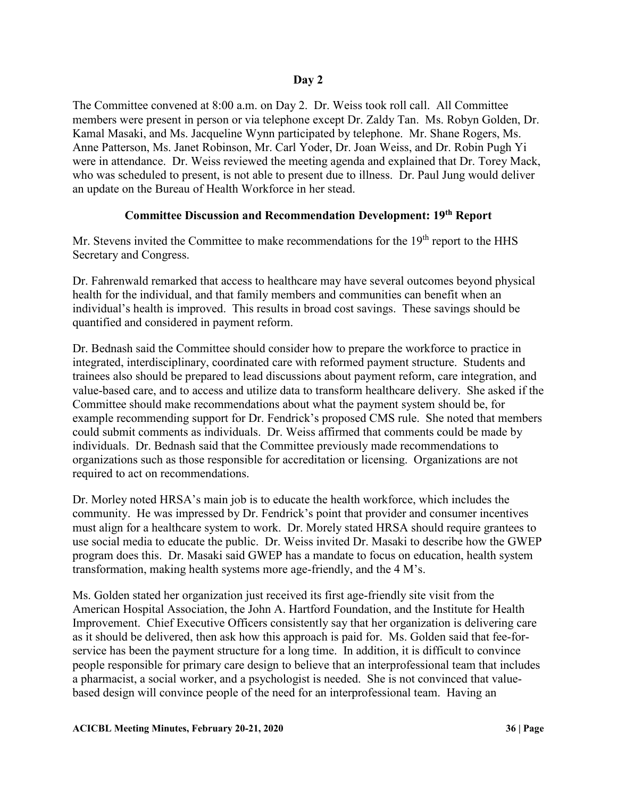The Committee convened at 8:00 a.m. on Day 2. Dr. Weiss took roll call. All Committee members were present in person or via telephone except Dr. Zaldy Tan. Ms. Robyn Golden, Dr. Kamal Masaki, and Ms. Jacqueline Wynn participated by telephone. Mr. Shane Rogers, Ms. Anne Patterson, Ms. Janet Robinson, Mr. Carl Yoder, Dr. Joan Weiss, and Dr. Robin Pugh Yi were in attendance. Dr. Weiss reviewed the meeting agenda and explained that Dr. Torey Mack, who was scheduled to present, is not able to present due to illness. Dr. Paul Jung would deliver an update on the Bureau of Health Workforce in her stead.

# **Committee Discussion and Recommendation Development: 19th Report**

Mr. Stevens invited the Committee to make recommendations for the  $19<sup>th</sup>$  report to the HHS Secretary and Congress.

Dr. Fahrenwald remarked that access to healthcare may have several outcomes beyond physical health for the individual, and that family members and communities can benefit when an individual's health is improved. This results in broad cost savings. These savings should be quantified and considered in payment reform.

Dr. Bednash said the Committee should consider how to prepare the workforce to practice in integrated, interdisciplinary, coordinated care with reformed payment structure. Students and trainees also should be prepared to lead discussions about payment reform, care integration, and value-based care, and to access and utilize data to transform healthcare delivery. She asked if the Committee should make recommendations about what the payment system should be, for example recommending support for Dr. Fendrick's proposed CMS rule. She noted that members could submit comments as individuals. Dr. Weiss affirmed that comments could be made by individuals. Dr. Bednash said that the Committee previously made recommendations to organizations such as those responsible for accreditation or licensing. Organizations are not required to act on recommendations.

Dr. Morley noted HRSA's main job is to educate the health workforce, which includes the community. He was impressed by Dr. Fendrick's point that provider and consumer incentives must align for a healthcare system to work. Dr. Morely stated HRSA should require grantees to use social media to educate the public. Dr. Weiss invited Dr. Masaki to describe how the GWEP program does this. Dr. Masaki said GWEP has a mandate to focus on education, health system transformation, making health systems more age-friendly, and the 4 M's.

Ms. Golden stated her organization just received its first age-friendly site visit from the American Hospital Association, the John A. Hartford Foundation, and the Institute for Health Improvement. Chief Executive Officers consistently say that her organization is delivering care as it should be delivered, then ask how this approach is paid for. Ms. Golden said that fee-forservice has been the payment structure for a long time. In addition, it is difficult to convince people responsible for primary care design to believe that an interprofessional team that includes a pharmacist, a social worker, and a psychologist is needed. She is not convinced that valuebased design will convince people of the need for an interprofessional team. Having an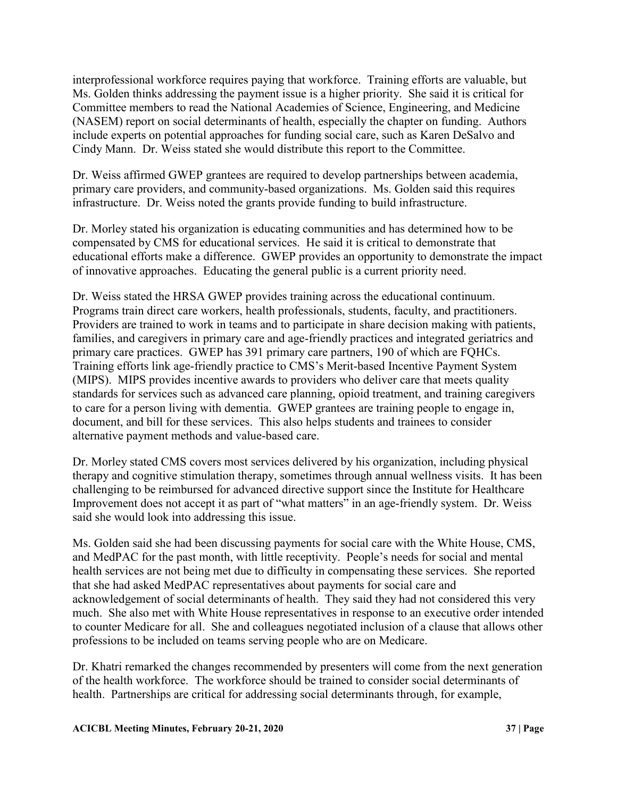interprofessional workforce requires paying that workforce. Training efforts are valuable, but Ms. Golden thinks addressing the payment issue is a higher priority. She said it is critical for Committee members to read the National Academies of Science, Engineering, and Medicine (NASEM) report on social determinants of health, especially the chapter on funding. Authors include experts on potential approaches for funding social care, such as Karen DeSalvo and Cindy Mann. Dr. Weiss stated she would distribute this report to the Committee.

Dr. Weiss affirmed GWEP grantees are required to develop partnerships between academia, primary care providers, and community-based organizations. Ms. Golden said this requires infrastructure. Dr. Weiss noted the grants provide funding to build infrastructure.

Dr. Morley stated his organization is educating communities and has determined how to be compensated by CMS for educational services. He said it is critical to demonstrate that educational efforts make a difference. GWEP provides an opportunity to demonstrate the impact of innovative approaches. Educating the general public is a current priority need.

Dr. Weiss stated the HRSA GWEP provides training across the educational continuum. Programs train direct care workers, health professionals, students, faculty, and practitioners. Providers are trained to work in teams and to participate in share decision making with patients, families, and caregivers in primary care and age-friendly practices and integrated geriatrics and primary care practices. GWEP has 391 primary care partners, 190 of which are FQHCs. Training efforts link age-friendly practice to CMS's Merit-based Incentive Payment System (MIPS). MIPS provides incentive awards to providers who deliver care that meets quality standards for services such as advanced care planning, opioid treatment, and training caregivers to care for a person living with dementia. GWEP grantees are training people to engage in, document, and bill for these services. This also helps students and trainees to consider alternative payment methods and value-based care.

Dr. Morley stated CMS covers most services delivered by his organization, including physical therapy and cognitive stimulation therapy, sometimes through annual wellness visits. It has been challenging to be reimbursed for advanced directive support since the Institute for Healthcare Improvement does not accept it as part of "what matters" in an age-friendly system. Dr. Weiss said she would look into addressing this issue.

Ms. Golden said she had been discussing payments for social care with the White House, CMS, and MedPAC for the past month, with little receptivity. People's needs for social and mental health services are not being met due to difficulty in compensating these services. She reported that she had asked MedPAC representatives about payments for social care and acknowledgement of social determinants of health. They said they had not considered this very much. She also met with White House representatives in response to an executive order intended to counter Medicare for all. She and colleagues negotiated inclusion of a clause that allows other professions to be included on teams serving people who are on Medicare.

Dr. Khatri remarked the changes recommended by presenters will come from the next generation of the health workforce. The workforce should be trained to consider social determinants of health. Partnerships are critical for addressing social determinants through, for example,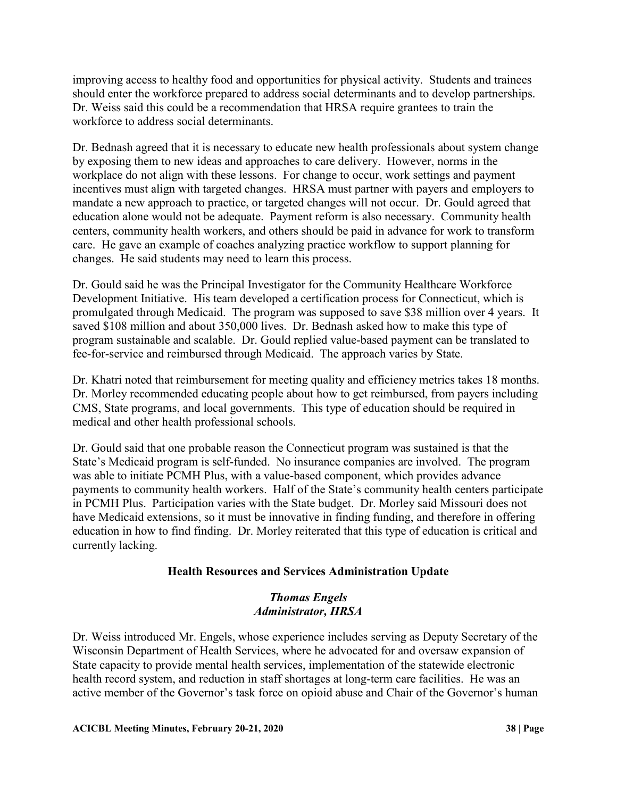improving access to healthy food and opportunities for physical activity. Students and trainees should enter the workforce prepared to address social determinants and to develop partnerships. Dr. Weiss said this could be a recommendation that HRSA require grantees to train the workforce to address social determinants.

Dr. Bednash agreed that it is necessary to educate new health professionals about system change by exposing them to new ideas and approaches to care delivery. However, norms in the workplace do not align with these lessons. For change to occur, work settings and payment incentives must align with targeted changes. HRSA must partner with payers and employers to mandate a new approach to practice, or targeted changes will not occur. Dr. Gould agreed that education alone would not be adequate. Payment reform is also necessary. Community health centers, community health workers, and others should be paid in advance for work to transform care. He gave an example of coaches analyzing practice workflow to support planning for changes. He said students may need to learn this process.

Dr. Gould said he was the Principal Investigator for the Community Healthcare Workforce Development Initiative. His team developed a certification process for Connecticut, which is promulgated through Medicaid. The program was supposed to save \$38 million over 4 years. It saved \$108 million and about 350,000 lives. Dr. Bednash asked how to make this type of program sustainable and scalable. Dr. Gould replied value-based payment can be translated to fee-for-service and reimbursed through Medicaid. The approach varies by State.

Dr. Khatri noted that reimbursement for meeting quality and efficiency metrics takes 18 months. Dr. Morley recommended educating people about how to get reimbursed, from payers including CMS, State programs, and local governments. This type of education should be required in medical and other health professional schools.

Dr. Gould said that one probable reason the Connecticut program was sustained is that the State's Medicaid program is self-funded. No insurance companies are involved. The program was able to initiate PCMH Plus, with a value-based component, which provides advance payments to community health workers. Half of the State's community health centers participate in PCMH Plus. Participation varies with the State budget. Dr. Morley said Missouri does not have Medicaid extensions, so it must be innovative in finding funding, and therefore in offering education in how to find finding. Dr. Morley reiterated that this type of education is critical and currently lacking.

# **Health Resources and Services Administration Update**

# *Thomas Engels Administrator, HRSA*

Dr. Weiss introduced Mr. Engels, whose experience includes serving as Deputy Secretary of the Wisconsin Department of Health Services, where he advocated for and oversaw expansion of State capacity to provide mental health services, implementation of the statewide electronic health record system, and reduction in staff shortages at long-term care facilities. He was an active member of the Governor's task force on opioid abuse and Chair of the Governor's human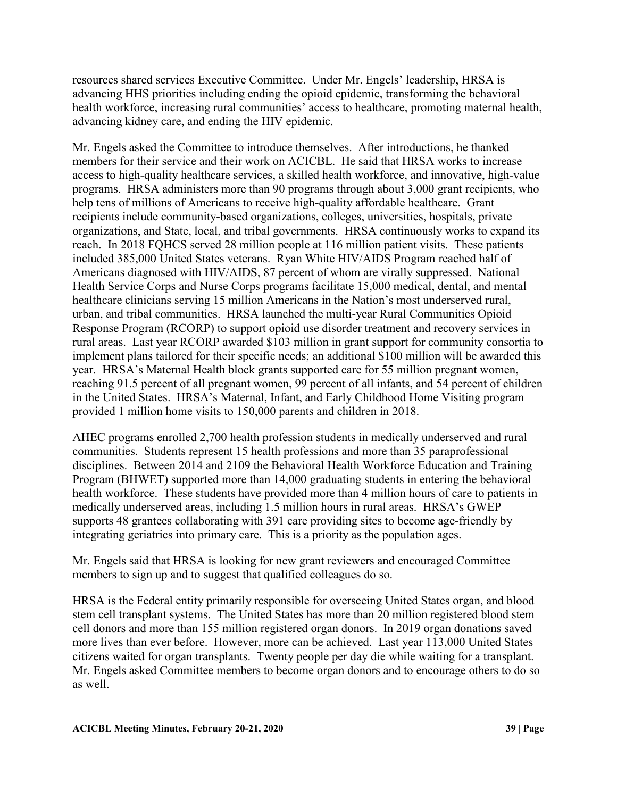resources shared services Executive Committee. Under Mr. Engels' leadership, HRSA is advancing HHS priorities including ending the opioid epidemic, transforming the behavioral health workforce, increasing rural communities' access to healthcare, promoting maternal health, advancing kidney care, and ending the HIV epidemic.

Mr. Engels asked the Committee to introduce themselves. After introductions, he thanked members for their service and their work on ACICBL. He said that HRSA works to increase access to high-quality healthcare services, a skilled health workforce, and innovative, high-value programs. HRSA administers more than 90 programs through about 3,000 grant recipients, who help tens of millions of Americans to receive high-quality affordable healthcare. Grant recipients include community-based organizations, colleges, universities, hospitals, private organizations, and State, local, and tribal governments. HRSA continuously works to expand its reach. In 2018 FQHCS served 28 million people at 116 million patient visits. These patients included 385,000 United States veterans. Ryan White HIV/AIDS Program reached half of Americans diagnosed with HIV/AIDS, 87 percent of whom are virally suppressed. National Health Service Corps and Nurse Corps programs facilitate 15,000 medical, dental, and mental healthcare clinicians serving 15 million Americans in the Nation's most underserved rural, urban, and tribal communities. HRSA launched the multi-year Rural Communities Opioid Response Program (RCORP) to support opioid use disorder treatment and recovery services in rural areas. Last year RCORP awarded \$103 million in grant support for community consortia to implement plans tailored for their specific needs; an additional \$100 million will be awarded this year. HRSA's Maternal Health block grants supported care for 55 million pregnant women, reaching 91.5 percent of all pregnant women, 99 percent of all infants, and 54 percent of children in the United States. HRSA's Maternal, Infant, and Early Childhood Home Visiting program provided 1 million home visits to 150,000 parents and children in 2018.

AHEC programs enrolled 2,700 health profession students in medically underserved and rural communities. Students represent 15 health professions and more than 35 paraprofessional disciplines. Between 2014 and 2109 the Behavioral Health Workforce Education and Training Program (BHWET) supported more than 14,000 graduating students in entering the behavioral health workforce. These students have provided more than 4 million hours of care to patients in medically underserved areas, including 1.5 million hours in rural areas. HRSA's GWEP supports 48 grantees collaborating with 391 care providing sites to become age-friendly by integrating geriatrics into primary care. This is a priority as the population ages.

Mr. Engels said that HRSA is looking for new grant reviewers and encouraged Committee members to sign up and to suggest that qualified colleagues do so.

HRSA is the Federal entity primarily responsible for overseeing United States organ, and blood stem cell transplant systems. The United States has more than 20 million registered blood stem cell donors and more than 155 million registered organ donors. In 2019 organ donations saved more lives than ever before. However, more can be achieved. Last year 113,000 United States citizens waited for organ transplants. Twenty people per day die while waiting for a transplant. Mr. Engels asked Committee members to become organ donors and to encourage others to do so as well.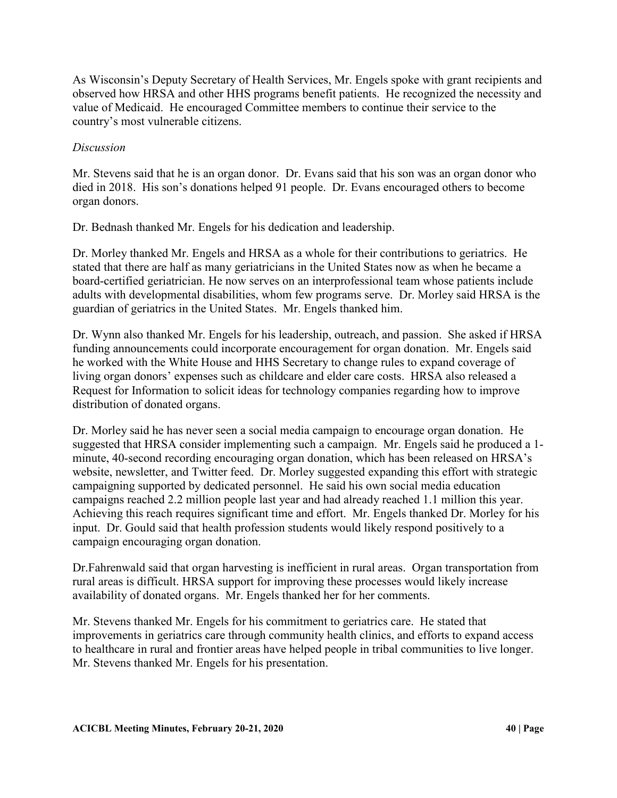As Wisconsin's Deputy Secretary of Health Services, Mr. Engels spoke with grant recipients and observed how HRSA and other HHS programs benefit patients. He recognized the necessity and value of Medicaid. He encouraged Committee members to continue their service to the country's most vulnerable citizens.

# *Discussion*

Mr. Stevens said that he is an organ donor. Dr. Evans said that his son was an organ donor who died in 2018. His son's donations helped 91 people. Dr. Evans encouraged others to become organ donors.

Dr. Bednash thanked Mr. Engels for his dedication and leadership.

Dr. Morley thanked Mr. Engels and HRSA as a whole for their contributions to geriatrics. He stated that there are half as many geriatricians in the United States now as when he became a board-certified geriatrician. He now serves on an interprofessional team whose patients include adults with developmental disabilities, whom few programs serve. Dr. Morley said HRSA is the guardian of geriatrics in the United States. Mr. Engels thanked him.

Dr. Wynn also thanked Mr. Engels for his leadership, outreach, and passion. She asked if HRSA funding announcements could incorporate encouragement for organ donation. Mr. Engels said he worked with the White House and HHS Secretary to change rules to expand coverage of living organ donors' expenses such as childcare and elder care costs. HRSA also released a Request for Information to solicit ideas for technology companies regarding how to improve distribution of donated organs.

Dr. Morley said he has never seen a social media campaign to encourage organ donation. He suggested that HRSA consider implementing such a campaign. Mr. Engels said he produced a 1 minute, 40-second recording encouraging organ donation, which has been released on HRSA's website, newsletter, and Twitter feed. Dr. Morley suggested expanding this effort with strategic campaigning supported by dedicated personnel. He said his own social media education campaigns reached 2.2 million people last year and had already reached 1.1 million this year. Achieving this reach requires significant time and effort. Mr. Engels thanked Dr. Morley for his input. Dr. Gould said that health profession students would likely respond positively to a campaign encouraging organ donation.

Dr.Fahrenwald said that organ harvesting is inefficient in rural areas. Organ transportation from rural areas is difficult. HRSA support for improving these processes would likely increase availability of donated organs. Mr. Engels thanked her for her comments.

Mr. Stevens thanked Mr. Engels for his commitment to geriatrics care. He stated that improvements in geriatrics care through community health clinics, and efforts to expand access to healthcare in rural and frontier areas have helped people in tribal communities to live longer. Mr. Stevens thanked Mr. Engels for his presentation.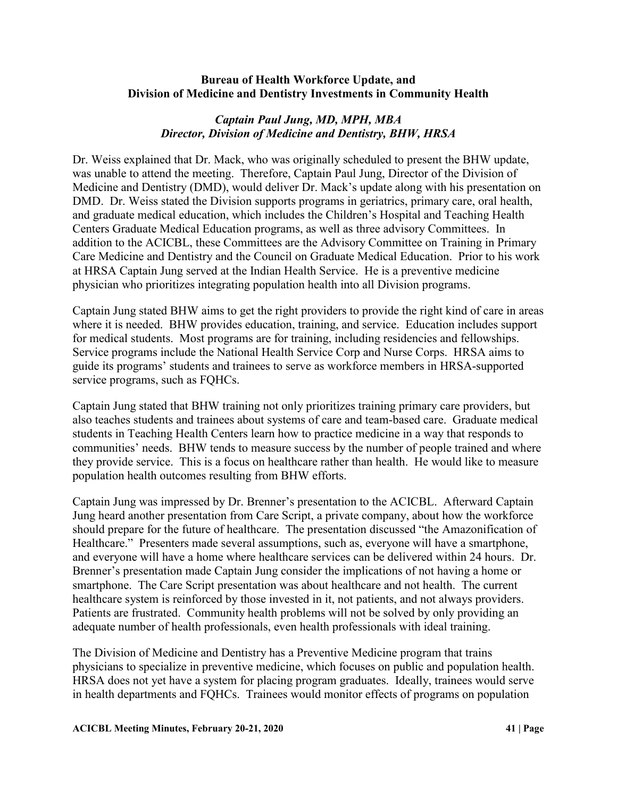### **Bureau of Health Workforce Update, and Division of Medicine and Dentistry Investments in Community Health**

# *Captain Paul Jung, MD, MPH, MBA Director, Division of Medicine and Dentistry, BHW, HRSA*

Dr. Weiss explained that Dr. Mack, who was originally scheduled to present the BHW update, was unable to attend the meeting. Therefore, Captain Paul Jung, Director of the Division of Medicine and Dentistry (DMD), would deliver Dr. Mack's update along with his presentation on DMD. Dr. Weiss stated the Division supports programs in geriatrics, primary care, oral health, and graduate medical education, which includes the Children's Hospital and Teaching Health Centers Graduate Medical Education programs, as well as three advisory Committees. In addition to the ACICBL, these Committees are the Advisory Committee on Training in Primary Care Medicine and Dentistry and the Council on Graduate Medical Education. Prior to his work at HRSA Captain Jung served at the Indian Health Service. He is a preventive medicine physician who prioritizes integrating population health into all Division programs.

Captain Jung stated BHW aims to get the right providers to provide the right kind of care in areas where it is needed. BHW provides education, training, and service. Education includes support for medical students. Most programs are for training, including residencies and fellowships. Service programs include the National Health Service Corp and Nurse Corps. HRSA aims to guide its programs' students and trainees to serve as workforce members in HRSA-supported service programs, such as FQHCs.

Captain Jung stated that BHW training not only prioritizes training primary care providers, but also teaches students and trainees about systems of care and team-based care. Graduate medical students in Teaching Health Centers learn how to practice medicine in a way that responds to communities' needs. BHW tends to measure success by the number of people trained and where they provide service. This is a focus on healthcare rather than health. He would like to measure population health outcomes resulting from BHW efforts.

Captain Jung was impressed by Dr. Brenner's presentation to the ACICBL. Afterward Captain Jung heard another presentation from Care Script, a private company, about how the workforce should prepare for the future of healthcare. The presentation discussed "the Amazonification of Healthcare." Presenters made several assumptions, such as, everyone will have a smartphone, and everyone will have a home where healthcare services can be delivered within 24 hours. Dr. Brenner's presentation made Captain Jung consider the implications of not having a home or smartphone. The Care Script presentation was about healthcare and not health. The current healthcare system is reinforced by those invested in it, not patients, and not always providers. Patients are frustrated. Community health problems will not be solved by only providing an adequate number of health professionals, even health professionals with ideal training.

The Division of Medicine and Dentistry has a Preventive Medicine program that trains physicians to specialize in preventive medicine, which focuses on public and population health. HRSA does not yet have a system for placing program graduates. Ideally, trainees would serve in health departments and FQHCs. Trainees would monitor effects of programs on population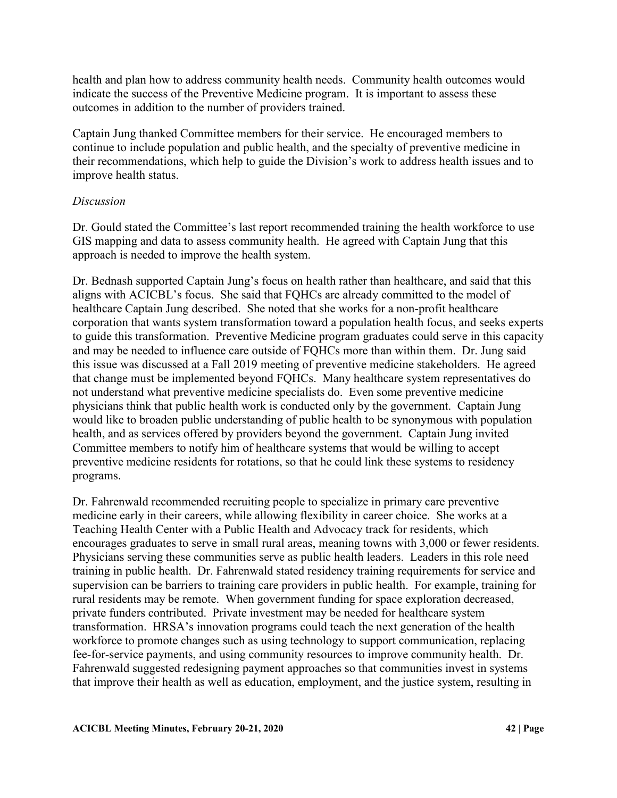health and plan how to address community health needs. Community health outcomes would indicate the success of the Preventive Medicine program. It is important to assess these outcomes in addition to the number of providers trained.

Captain Jung thanked Committee members for their service. He encouraged members to continue to include population and public health, and the specialty of preventive medicine in their recommendations, which help to guide the Division's work to address health issues and to improve health status.

### *Discussion*

Dr. Gould stated the Committee's last report recommended training the health workforce to use GIS mapping and data to assess community health. He agreed with Captain Jung that this approach is needed to improve the health system.

Dr. Bednash supported Captain Jung's focus on health rather than healthcare, and said that this aligns with ACICBL's focus. She said that FQHCs are already committed to the model of healthcare Captain Jung described. She noted that she works for a non-profit healthcare corporation that wants system transformation toward a population health focus, and seeks experts to guide this transformation. Preventive Medicine program graduates could serve in this capacity and may be needed to influence care outside of FQHCs more than within them. Dr. Jung said this issue was discussed at a Fall 2019 meeting of preventive medicine stakeholders. He agreed that change must be implemented beyond FQHCs. Many healthcare system representatives do not understand what preventive medicine specialists do. Even some preventive medicine physicians think that public health work is conducted only by the government. Captain Jung would like to broaden public understanding of public health to be synonymous with population health, and as services offered by providers beyond the government. Captain Jung invited Committee members to notify him of healthcare systems that would be willing to accept preventive medicine residents for rotations, so that he could link these systems to residency programs.

Dr. Fahrenwald recommended recruiting people to specialize in primary care preventive medicine early in their careers, while allowing flexibility in career choice. She works at a Teaching Health Center with a Public Health and Advocacy track for residents, which encourages graduates to serve in small rural areas, meaning towns with 3,000 or fewer residents. Physicians serving these communities serve as public health leaders. Leaders in this role need training in public health. Dr. Fahrenwald stated residency training requirements for service and supervision can be barriers to training care providers in public health. For example, training for rural residents may be remote. When government funding for space exploration decreased, private funders contributed. Private investment may be needed for healthcare system transformation. HRSA's innovation programs could teach the next generation of the health workforce to promote changes such as using technology to support communication, replacing fee-for-service payments, and using community resources to improve community health. Dr. Fahrenwald suggested redesigning payment approaches so that communities invest in systems that improve their health as well as education, employment, and the justice system, resulting in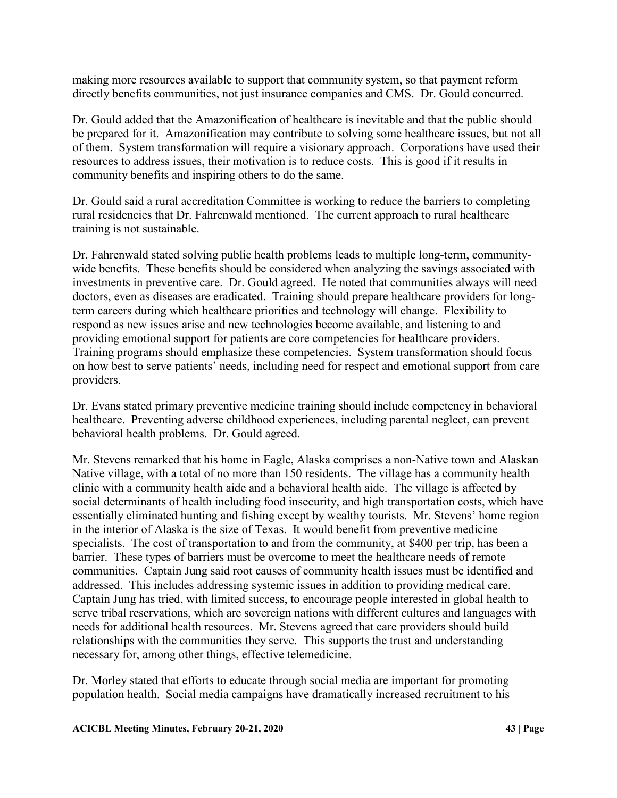making more resources available to support that community system, so that payment reform directly benefits communities, not just insurance companies and CMS. Dr. Gould concurred.

Dr. Gould added that the Amazonification of healthcare is inevitable and that the public should be prepared for it. Amazonification may contribute to solving some healthcare issues, but not all of them. System transformation will require a visionary approach. Corporations have used their resources to address issues, their motivation is to reduce costs. This is good if it results in community benefits and inspiring others to do the same.

Dr. Gould said a rural accreditation Committee is working to reduce the barriers to completing rural residencies that Dr. Fahrenwald mentioned. The current approach to rural healthcare training is not sustainable.

Dr. Fahrenwald stated solving public health problems leads to multiple long-term, communitywide benefits. These benefits should be considered when analyzing the savings associated with investments in preventive care. Dr. Gould agreed. He noted that communities always will need doctors, even as diseases are eradicated. Training should prepare healthcare providers for longterm careers during which healthcare priorities and technology will change. Flexibility to respond as new issues arise and new technologies become available, and listening to and providing emotional support for patients are core competencies for healthcare providers. Training programs should emphasize these competencies. System transformation should focus on how best to serve patients' needs, including need for respect and emotional support from care providers.

Dr. Evans stated primary preventive medicine training should include competency in behavioral healthcare. Preventing adverse childhood experiences, including parental neglect, can prevent behavioral health problems. Dr. Gould agreed.

Mr. Stevens remarked that his home in Eagle, Alaska comprises a non-Native town and Alaskan Native village, with a total of no more than 150 residents. The village has a community health clinic with a community health aide and a behavioral health aide. The village is affected by social determinants of health including food insecurity, and high transportation costs, which have essentially eliminated hunting and fishing except by wealthy tourists. Mr. Stevens' home region in the interior of Alaska is the size of Texas. It would benefit from preventive medicine specialists. The cost of transportation to and from the community, at \$400 per trip, has been a barrier. These types of barriers must be overcome to meet the healthcare needs of remote communities. Captain Jung said root causes of community health issues must be identified and addressed. This includes addressing systemic issues in addition to providing medical care. Captain Jung has tried, with limited success, to encourage people interested in global health to serve tribal reservations, which are sovereign nations with different cultures and languages with needs for additional health resources. Mr. Stevens agreed that care providers should build relationships with the communities they serve. This supports the trust and understanding necessary for, among other things, effective telemedicine.

Dr. Morley stated that efforts to educate through social media are important for promoting population health. Social media campaigns have dramatically increased recruitment to his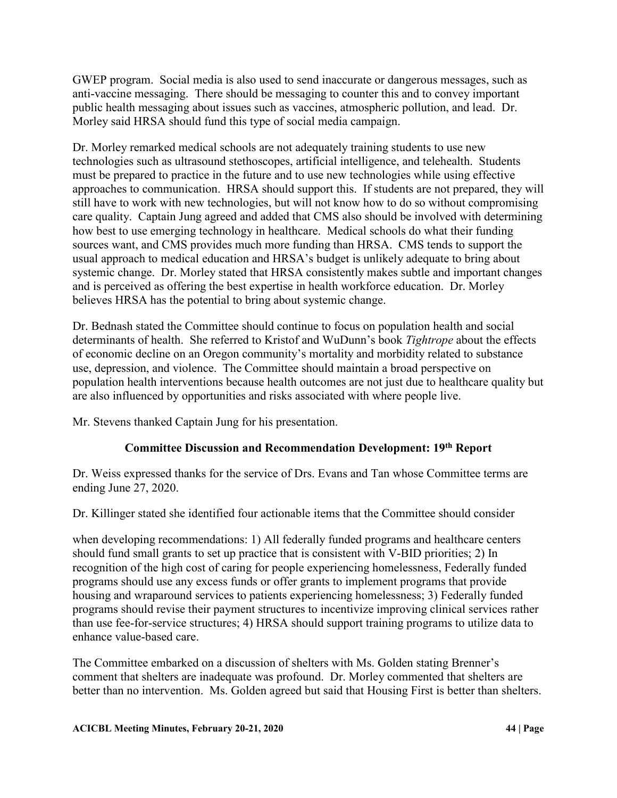GWEP program. Social media is also used to send inaccurate or dangerous messages, such as anti-vaccine messaging. There should be messaging to counter this and to convey important public health messaging about issues such as vaccines, atmospheric pollution, and lead. Dr. Morley said HRSA should fund this type of social media campaign.

Dr. Morley remarked medical schools are not adequately training students to use new technologies such as ultrasound stethoscopes, artificial intelligence, and telehealth. Students must be prepared to practice in the future and to use new technologies while using effective approaches to communication. HRSA should support this. If students are not prepared, they will still have to work with new technologies, but will not know how to do so without compromising care quality. Captain Jung agreed and added that CMS also should be involved with determining how best to use emerging technology in healthcare. Medical schools do what their funding sources want, and CMS provides much more funding than HRSA. CMS tends to support the usual approach to medical education and HRSA's budget is unlikely adequate to bring about systemic change. Dr. Morley stated that HRSA consistently makes subtle and important changes and is perceived as offering the best expertise in health workforce education. Dr. Morley believes HRSA has the potential to bring about systemic change.

Dr. Bednash stated the Committee should continue to focus on population health and social determinants of health. She referred to Kristof and WuDunn's book *Tightrope* about the effects of economic decline on an Oregon community's mortality and morbidity related to substance use, depression, and violence. The Committee should maintain a broad perspective on population health interventions because health outcomes are not just due to healthcare quality but are also influenced by opportunities and risks associated with where people live.

Mr. Stevens thanked Captain Jung for his presentation.

# **Committee Discussion and Recommendation Development: 19th Report**

Dr. Weiss expressed thanks for the service of Drs. Evans and Tan whose Committee terms are ending June 27, 2020.

Dr. Killinger stated she identified four actionable items that the Committee should consider

when developing recommendations: 1) All federally funded programs and healthcare centers should fund small grants to set up practice that is consistent with V-BID priorities; 2) In recognition of the high cost of caring for people experiencing homelessness, Federally funded programs should use any excess funds or offer grants to implement programs that provide housing and wraparound services to patients experiencing homelessness; 3) Federally funded programs should revise their payment structures to incentivize improving clinical services rather than use fee-for-service structures; 4) HRSA should support training programs to utilize data to enhance value-based care.

The Committee embarked on a discussion of shelters with Ms. Golden stating Brenner's comment that shelters are inadequate was profound. Dr. Morley commented that shelters are better than no intervention. Ms. Golden agreed but said that Housing First is better than shelters.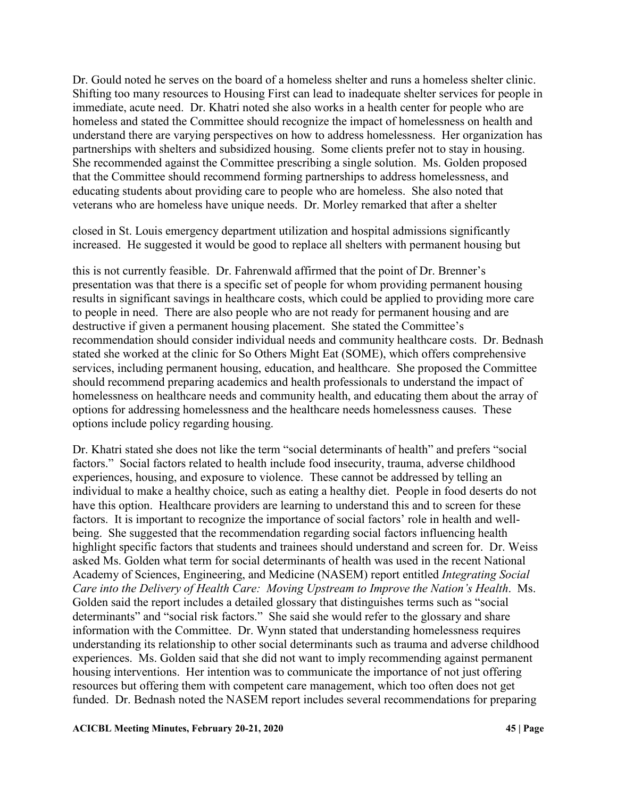Dr. Gould noted he serves on the board of a homeless shelter and runs a homeless shelter clinic. Shifting too many resources to Housing First can lead to inadequate shelter services for people in immediate, acute need. Dr. Khatri noted she also works in a health center for people who are homeless and stated the Committee should recognize the impact of homelessness on health and understand there are varying perspectives on how to address homelessness. Her organization has partnerships with shelters and subsidized housing. Some clients prefer not to stay in housing. She recommended against the Committee prescribing a single solution. Ms. Golden proposed that the Committee should recommend forming partnerships to address homelessness, and educating students about providing care to people who are homeless. She also noted that veterans who are homeless have unique needs. Dr. Morley remarked that after a shelter

closed in St. Louis emergency department utilization and hospital admissions significantly increased. He suggested it would be good to replace all shelters with permanent housing but

this is not currently feasible. Dr. Fahrenwald affirmed that the point of Dr. Brenner's presentation was that there is a specific set of people for whom providing permanent housing results in significant savings in healthcare costs, which could be applied to providing more care to people in need. There are also people who are not ready for permanent housing and are destructive if given a permanent housing placement. She stated the Committee's recommendation should consider individual needs and community healthcare costs. Dr. Bednash stated she worked at the clinic for So Others Might Eat (SOME), which offers comprehensive services, including permanent housing, education, and healthcare. She proposed the Committee should recommend preparing academics and health professionals to understand the impact of homelessness on healthcare needs and community health, and educating them about the array of options for addressing homelessness and the healthcare needs homelessness causes. These options include policy regarding housing.

Dr. Khatri stated she does not like the term "social determinants of health" and prefers "social factors." Social factors related to health include food insecurity, trauma, adverse childhood experiences, housing, and exposure to violence. These cannot be addressed by telling an individual to make a healthy choice, such as eating a healthy diet. People in food deserts do not have this option. Healthcare providers are learning to understand this and to screen for these factors. It is important to recognize the importance of social factors' role in health and wellbeing. She suggested that the recommendation regarding social factors influencing health highlight specific factors that students and trainees should understand and screen for. Dr. Weiss asked Ms. Golden what term for social determinants of health was used in the recent National Academy of Sciences, Engineering, and Medicine (NASEM) report entitled *Integrating Social Care into the Delivery of Health Care: Moving Upstream to Improve the Nation's Health*. Ms. Golden said the report includes a detailed glossary that distinguishes terms such as "social determinants" and "social risk factors." She said she would refer to the glossary and share information with the Committee. Dr. Wynn stated that understanding homelessness requires understanding its relationship to other social determinants such as trauma and adverse childhood experiences. Ms. Golden said that she did not want to imply recommending against permanent housing interventions. Her intention was to communicate the importance of not just offering resources but offering them with competent care management, which too often does not get funded. Dr. Bednash noted the NASEM report includes several recommendations for preparing

#### **ACICBL Meeting Minutes, February 20-21, 2020 45 | Page**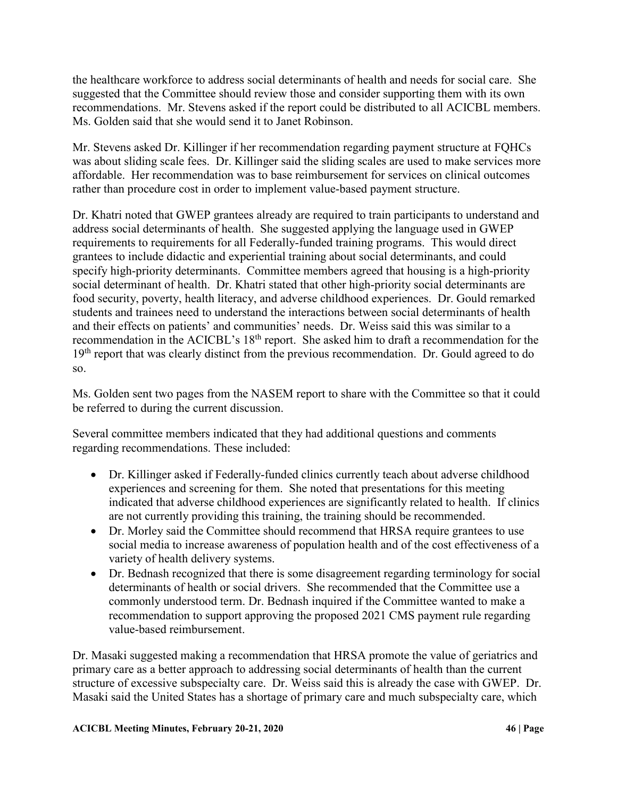the healthcare workforce to address social determinants of health and needs for social care. She suggested that the Committee should review those and consider supporting them with its own recommendations. Mr. Stevens asked if the report could be distributed to all ACICBL members. Ms. Golden said that she would send it to Janet Robinson.

Mr. Stevens asked Dr. Killinger if her recommendation regarding payment structure at FQHCs was about sliding scale fees. Dr. Killinger said the sliding scales are used to make services more affordable. Her recommendation was to base reimbursement for services on clinical outcomes rather than procedure cost in order to implement value-based payment structure.

Dr. Khatri noted that GWEP grantees already are required to train participants to understand and address social determinants of health. She suggested applying the language used in GWEP requirements to requirements for all Federally-funded training programs. This would direct grantees to include didactic and experiential training about social determinants, and could specify high-priority determinants. Committee members agreed that housing is a high-priority social determinant of health. Dr. Khatri stated that other high-priority social determinants are food security, poverty, health literacy, and adverse childhood experiences. Dr. Gould remarked students and trainees need to understand the interactions between social determinants of health and their effects on patients' and communities' needs. Dr. Weiss said this was similar to a recommendation in the ACICBL's 18<sup>th</sup> report. She asked him to draft a recommendation for the  $19<sup>th</sup>$  report that was clearly distinct from the previous recommendation. Dr. Gould agreed to do so.

Ms. Golden sent two pages from the NASEM report to share with the Committee so that it could be referred to during the current discussion.

Several committee members indicated that they had additional questions and comments regarding recommendations. These included:

- Dr. Killinger asked if Federally-funded clinics currently teach about adverse childhood experiences and screening for them. She noted that presentations for this meeting indicated that adverse childhood experiences are significantly related to health. If clinics are not currently providing this training, the training should be recommended.
- Dr. Morley said the Committee should recommend that HRSA require grantees to use social media to increase awareness of population health and of the cost effectiveness of a variety of health delivery systems.
- Dr. Bednash recognized that there is some disagreement regarding terminology for social determinants of health or social drivers. She recommended that the Committee use a commonly understood term. Dr. Bednash inquired if the Committee wanted to make a recommendation to support approving the proposed 2021 CMS payment rule regarding value-based reimbursement.

Dr. Masaki suggested making a recommendation that HRSA promote the value of geriatrics and primary care as a better approach to addressing social determinants of health than the current structure of excessive subspecialty care. Dr. Weiss said this is already the case with GWEP. Dr. Masaki said the United States has a shortage of primary care and much subspecialty care, which

### **ACICBL Meeting Minutes, February 20-21, 2020 46 | Page**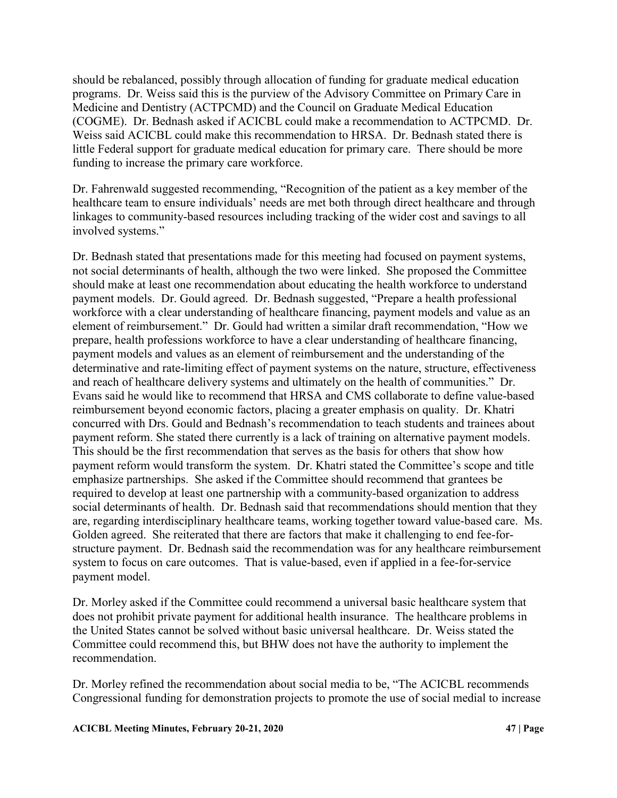should be rebalanced, possibly through allocation of funding for graduate medical education programs. Dr. Weiss said this is the purview of the Advisory Committee on Primary Care in Medicine and Dentistry (ACTPCMD) and the Council on Graduate Medical Education (COGME). Dr. Bednash asked if ACICBL could make a recommendation to ACTPCMD. Dr. Weiss said ACICBL could make this recommendation to HRSA. Dr. Bednash stated there is little Federal support for graduate medical education for primary care. There should be more funding to increase the primary care workforce.

Dr. Fahrenwald suggested recommending, "Recognition of the patient as a key member of the healthcare team to ensure individuals' needs are met both through direct healthcare and through linkages to community-based resources including tracking of the wider cost and savings to all involved systems."

Dr. Bednash stated that presentations made for this meeting had focused on payment systems, not social determinants of health, although the two were linked. She proposed the Committee should make at least one recommendation about educating the health workforce to understand payment models. Dr. Gould agreed. Dr. Bednash suggested, "Prepare a health professional workforce with a clear understanding of healthcare financing, payment models and value as an element of reimbursement." Dr. Gould had written a similar draft recommendation, "How we prepare, health professions workforce to have a clear understanding of healthcare financing, payment models and values as an element of reimbursement and the understanding of the determinative and rate-limiting effect of payment systems on the nature, structure, effectiveness and reach of healthcare delivery systems and ultimately on the health of communities." Dr. Evans said he would like to recommend that HRSA and CMS collaborate to define value-based reimbursement beyond economic factors, placing a greater emphasis on quality. Dr. Khatri concurred with Drs. Gould and Bednash's recommendation to teach students and trainees about payment reform. She stated there currently is a lack of training on alternative payment models. This should be the first recommendation that serves as the basis for others that show how payment reform would transform the system. Dr. Khatri stated the Committee's scope and title emphasize partnerships. She asked if the Committee should recommend that grantees be required to develop at least one partnership with a community-based organization to address social determinants of health. Dr. Bednash said that recommendations should mention that they are, regarding interdisciplinary healthcare teams, working together toward value-based care. Ms. Golden agreed. She reiterated that there are factors that make it challenging to end fee-forstructure payment. Dr. Bednash said the recommendation was for any healthcare reimbursement system to focus on care outcomes. That is value-based, even if applied in a fee-for-service payment model.

Dr. Morley asked if the Committee could recommend a universal basic healthcare system that does not prohibit private payment for additional health insurance. The healthcare problems in the United States cannot be solved without basic universal healthcare. Dr. Weiss stated the Committee could recommend this, but BHW does not have the authority to implement the recommendation.

Dr. Morley refined the recommendation about social media to be, "The ACICBL recommends Congressional funding for demonstration projects to promote the use of social medial to increase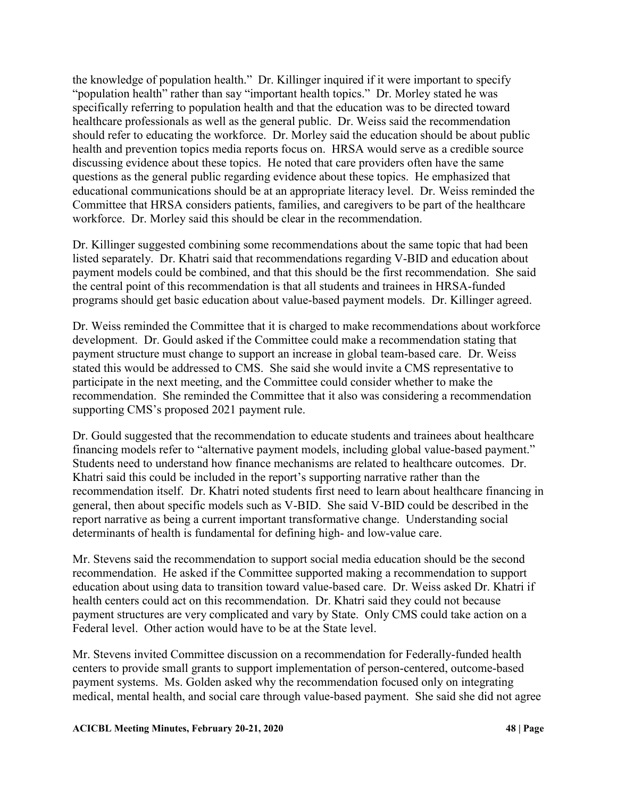the knowledge of population health." Dr. Killinger inquired if it were important to specify "population health" rather than say "important health topics." Dr. Morley stated he was specifically referring to population health and that the education was to be directed toward healthcare professionals as well as the general public. Dr. Weiss said the recommendation should refer to educating the workforce. Dr. Morley said the education should be about public health and prevention topics media reports focus on. HRSA would serve as a credible source discussing evidence about these topics. He noted that care providers often have the same questions as the general public regarding evidence about these topics. He emphasized that educational communications should be at an appropriate literacy level. Dr. Weiss reminded the Committee that HRSA considers patients, families, and caregivers to be part of the healthcare workforce. Dr. Morley said this should be clear in the recommendation.

Dr. Killinger suggested combining some recommendations about the same topic that had been listed separately. Dr. Khatri said that recommendations regarding V-BID and education about payment models could be combined, and that this should be the first recommendation. She said the central point of this recommendation is that all students and trainees in HRSA-funded programs should get basic education about value-based payment models. Dr. Killinger agreed.

Dr. Weiss reminded the Committee that it is charged to make recommendations about workforce development. Dr. Gould asked if the Committee could make a recommendation stating that payment structure must change to support an increase in global team-based care. Dr. Weiss stated this would be addressed to CMS. She said she would invite a CMS representative to participate in the next meeting, and the Committee could consider whether to make the recommendation. She reminded the Committee that it also was considering a recommendation supporting CMS's proposed 2021 payment rule.

Dr. Gould suggested that the recommendation to educate students and trainees about healthcare financing models refer to "alternative payment models, including global value-based payment." Students need to understand how finance mechanisms are related to healthcare outcomes. Dr. Khatri said this could be included in the report's supporting narrative rather than the recommendation itself. Dr. Khatri noted students first need to learn about healthcare financing in general, then about specific models such as V-BID. She said V-BID could be described in the report narrative as being a current important transformative change. Understanding social determinants of health is fundamental for defining high- and low-value care.

Mr. Stevens said the recommendation to support social media education should be the second recommendation. He asked if the Committee supported making a recommendation to support education about using data to transition toward value-based care. Dr. Weiss asked Dr. Khatri if health centers could act on this recommendation. Dr. Khatri said they could not because payment structures are very complicated and vary by State. Only CMS could take action on a Federal level. Other action would have to be at the State level.

Mr. Stevens invited Committee discussion on a recommendation for Federally-funded health centers to provide small grants to support implementation of person-centered, outcome-based payment systems. Ms. Golden asked why the recommendation focused only on integrating medical, mental health, and social care through value-based payment. She said she did not agree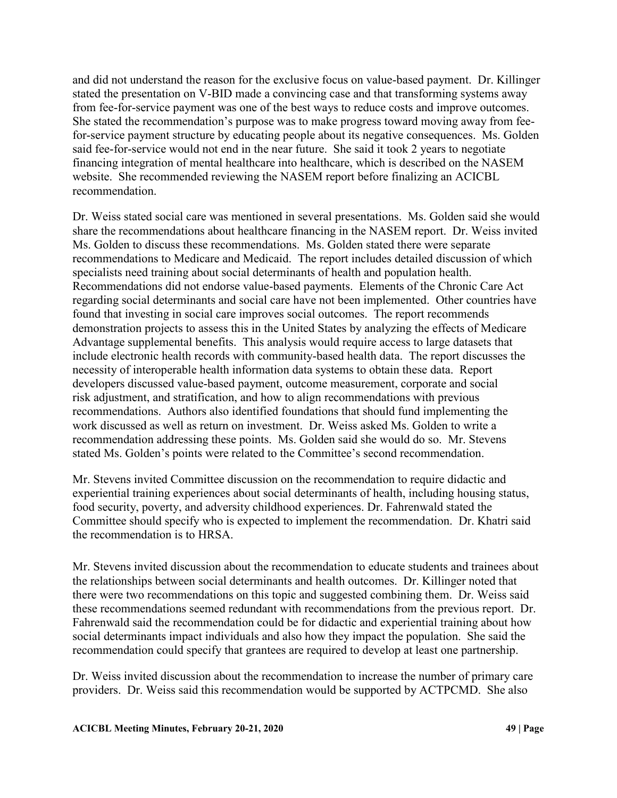and did not understand the reason for the exclusive focus on value-based payment. Dr. Killinger stated the presentation on V-BID made a convincing case and that transforming systems away from fee-for-service payment was one of the best ways to reduce costs and improve outcomes. She stated the recommendation's purpose was to make progress toward moving away from feefor-service payment structure by educating people about its negative consequences. Ms. Golden said fee-for-service would not end in the near future. She said it took 2 years to negotiate financing integration of mental healthcare into healthcare, which is described on the NASEM website. She recommended reviewing the NASEM report before finalizing an ACICBL recommendation.

Dr. Weiss stated social care was mentioned in several presentations. Ms. Golden said she would share the recommendations about healthcare financing in the NASEM report. Dr. Weiss invited Ms. Golden to discuss these recommendations. Ms. Golden stated there were separate recommendations to Medicare and Medicaid. The report includes detailed discussion of which specialists need training about social determinants of health and population health. Recommendations did not endorse value-based payments. Elements of the Chronic Care Act regarding social determinants and social care have not been implemented. Other countries have found that investing in social care improves social outcomes. The report recommends demonstration projects to assess this in the United States by analyzing the effects of Medicare Advantage supplemental benefits. This analysis would require access to large datasets that include electronic health records with community-based health data. The report discusses the necessity of interoperable health information data systems to obtain these data. Report developers discussed value-based payment, outcome measurement, corporate and social risk adjustment, and stratification, and how to align recommendations with previous recommendations. Authors also identified foundations that should fund implementing the work discussed as well as return on investment. Dr. Weiss asked Ms. Golden to write a recommendation addressing these points. Ms. Golden said she would do so. Mr. Stevens stated Ms. Golden's points were related to the Committee's second recommendation.

Mr. Stevens invited Committee discussion on the recommendation to require didactic and experiential training experiences about social determinants of health, including housing status, food security, poverty, and adversity childhood experiences. Dr. Fahrenwald stated the Committee should specify who is expected to implement the recommendation. Dr. Khatri said the recommendation is to HRSA.

Mr. Stevens invited discussion about the recommendation to educate students and trainees about the relationships between social determinants and health outcomes. Dr. Killinger noted that there were two recommendations on this topic and suggested combining them. Dr. Weiss said these recommendations seemed redundant with recommendations from the previous report. Dr. Fahrenwald said the recommendation could be for didactic and experiential training about how social determinants impact individuals and also how they impact the population. She said the recommendation could specify that grantees are required to develop at least one partnership.

Dr. Weiss invited discussion about the recommendation to increase the number of primary care providers. Dr. Weiss said this recommendation would be supported by ACTPCMD. She also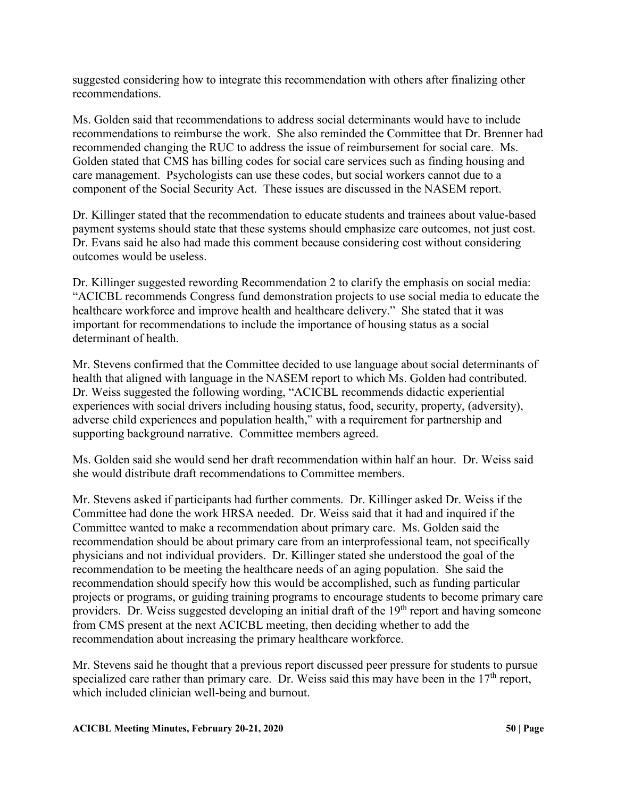suggested considering how to integrate this recommendation with others after finalizing other recommendations.

Ms. Golden said that recommendations to address social determinants would have to include recommendations to reimburse the work. She also reminded the Committee that Dr. Brenner had recommended changing the RUC to address the issue of reimbursement for social care. Ms. Golden stated that CMS has billing codes for social care services such as finding housing and care management. Psychologists can use these codes, but social workers cannot due to a component of the Social Security Act. These issues are discussed in the NASEM report.

Dr. Killinger stated that the recommendation to educate students and trainees about value-based payment systems should state that these systems should emphasize care outcomes, not just cost. Dr. Evans said he also had made this comment because considering cost without considering outcomes would be useless.

Dr. Killinger suggested rewording Recommendation 2 to clarify the emphasis on social media: "ACICBL recommends Congress fund demonstration projects to use social media to educate the healthcare workforce and improve health and healthcare delivery." She stated that it was important for recommendations to include the importance of housing status as a social determinant of health.

Mr. Stevens confirmed that the Committee decided to use language about social determinants of health that aligned with language in the NASEM report to which Ms. Golden had contributed. Dr. Weiss suggested the following wording, "ACICBL recommends didactic experiential experiences with social drivers including housing status, food, security, property, (adversity), adverse child experiences and population health," with a requirement for partnership and supporting background narrative. Committee members agreed.

Ms. Golden said she would send her draft recommendation within half an hour. Dr. Weiss said she would distribute draft recommendations to Committee members.

Mr. Stevens asked if participants had further comments. Dr. Killinger asked Dr. Weiss if the Committee had done the work HRSA needed. Dr. Weiss said that it had and inquired if the Committee wanted to make a recommendation about primary care. Ms. Golden said the recommendation should be about primary care from an interprofessional team, not specifically physicians and not individual providers. Dr. Killinger stated she understood the goal of the recommendation to be meeting the healthcare needs of an aging population. She said the recommendation should specify how this would be accomplished, such as funding particular projects or programs, or guiding training programs to encourage students to become primary care providers. Dr. Weiss suggested developing an initial draft of the  $19<sup>th</sup>$  report and having someone from CMS present at the next ACICBL meeting, then deciding whether to add the recommendation about increasing the primary healthcare workforce.

Mr. Stevens said he thought that a previous report discussed peer pressure for students to pursue specialized care rather than primary care. Dr. Weiss said this may have been in the  $17<sup>th</sup>$  report, which included clinician well-being and burnout.